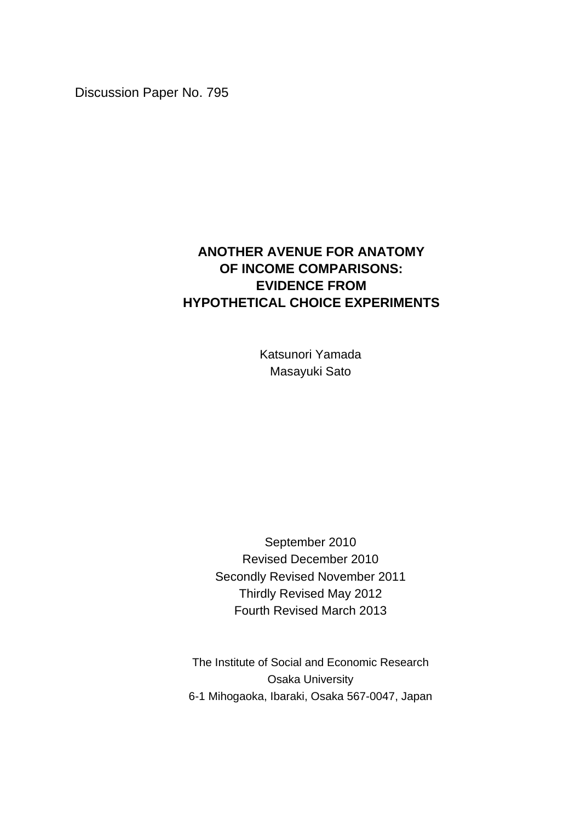Discussion Paper No. 795

# **ANOTHER AVENUE FOR ANATOMY OF INCOME COMPARISONS: EVIDENCE FROM HYPOTHETICAL CHOICE EXPERIMENTS**

Katsunori Yamada Masayuki Sato

September 2010 Revised December 2010 Secondly Revised November 2011 Thirdly Revised May 2012 Fourth Revised March 2013

The Institute of Social and Economic Research Osaka University 6-1 Mihogaoka, Ibaraki, Osaka 567-0047, Japan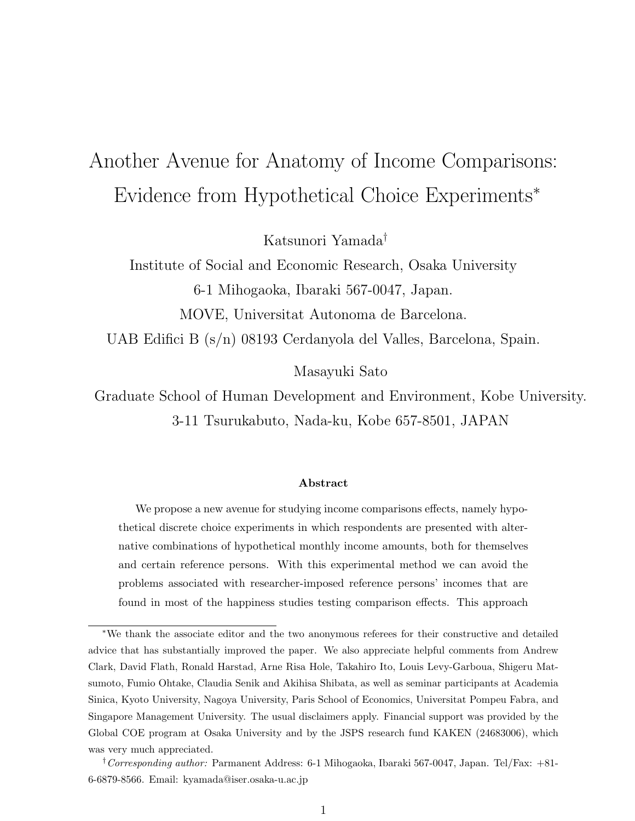# Another Avenue for Anatomy of Income Comparisons: Evidence from Hypothetical Choice Experiments*<sup>∗</sup>*

Katsunori Yamada*†*

Institute of Social and Economic Research, Osaka University 6-1 Mihogaoka, Ibaraki 567-0047, Japan.

MOVE, Universitat Autonoma de Barcelona.

UAB Edifici B (s/n) 08193 Cerdanyola del Valles, Barcelona, Spain.

Masayuki Sato

Graduate School of Human Development and Environment, Kobe University. 3-11 Tsurukabuto, Nada-ku, Kobe 657-8501, JAPAN

#### **Abstract**

We propose a new avenue for studying income comparisons effects, namely hypothetical discrete choice experiments in which respondents are presented with alternative combinations of hypothetical monthly income amounts, both for themselves and certain reference persons. With this experimental method we can avoid the problems associated with researcher-imposed reference persons' incomes that are found in most of the happiness studies testing comparison effects. This approach

*<sup>∗</sup>*We thank the associate editor and the two anonymous referees for their constructive and detailed advice that has substantially improved the paper. We also appreciate helpful comments from Andrew Clark, David Flath, Ronald Harstad, Arne Risa Hole, Takahiro Ito, Louis Levy-Garboua, Shigeru Matsumoto, Fumio Ohtake, Claudia Senik and Akihisa Shibata, as well as seminar participants at Academia Sinica, Kyoto University, Nagoya University, Paris School of Economics, Universitat Pompeu Fabra, and Singapore Management University. The usual disclaimers apply. Financial support was provided by the Global COE program at Osaka University and by the JSPS research fund KAKEN (24683006), which was very much appreciated.

*<sup>†</sup>Corresponding author:* Parmanent Address: 6-1 Mihogaoka, Ibaraki 567-0047, Japan. Tel/Fax: +81- 6-6879-8566. Email: kyamada@iser.osaka-u.ac.jp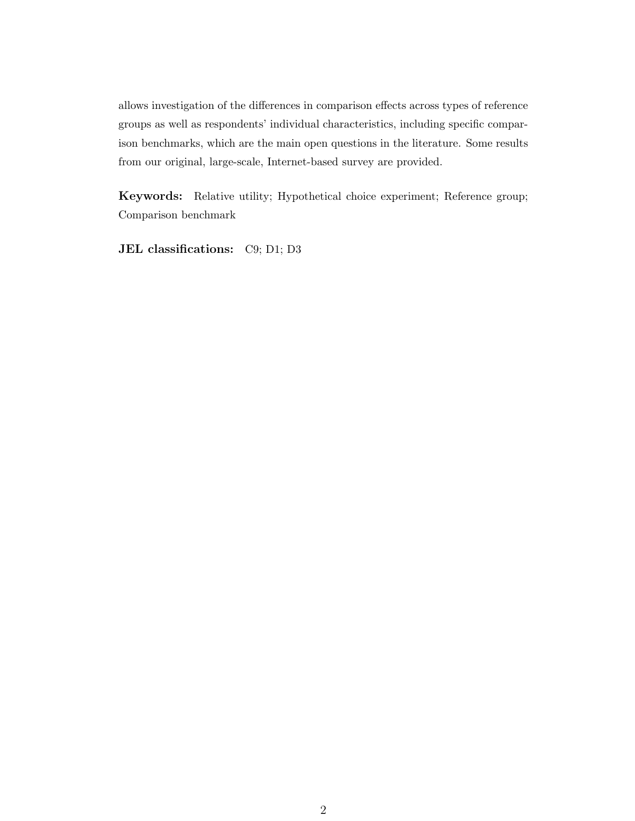allows investigation of the differences in comparison effects across types of reference groups as well as respondents' individual characteristics, including specific comparison benchmarks, which are the main open questions in the literature. Some results from our original, large-scale, Internet-based survey are provided.

**Keywords:** Relative utility; Hypothetical choice experiment; Reference group; Comparison benchmark

**JEL classifications:** C9; D1; D3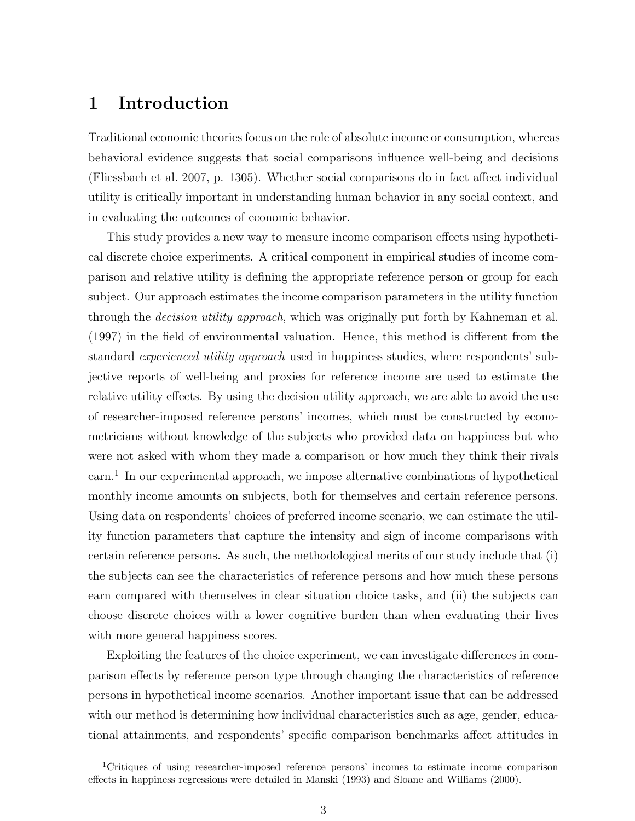# **1 Introduction**

Traditional economic theories focus on the role of absolute income or consumption, whereas behavioral evidence suggests that social comparisons influence well-being and decisions (Fliessbach et al. 2007, p. 1305). Whether social comparisons do in fact affect individual utility is critically important in understanding human behavior in any social context, and in evaluating the outcomes of economic behavior.

This study provides a new way to measure income comparison effects using hypothetical discrete choice experiments. A critical component in empirical studies of income comparison and relative utility is defining the appropriate reference person or group for each subject. Our approach estimates the income comparison parameters in the utility function through the *decision utility approach*, which was originally put forth by Kahneman et al. (1997) in the field of environmental valuation. Hence, this method is different from the standard *experienced utility approach* used in happiness studies, where respondents' subjective reports of well-being and proxies for reference income are used to estimate the relative utility effects. By using the decision utility approach, we are able to avoid the use of researcher-imposed reference persons' incomes, which must be constructed by econometricians without knowledge of the subjects who provided data on happiness but who were not asked with whom they made a comparison or how much they think their rivals earn.<sup>1</sup> In our experimental approach, we impose alternative combinations of hypothetical monthly income amounts on subjects, both for themselves and certain reference persons. Using data on respondents' choices of preferred income scenario, we can estimate the utility function parameters that capture the intensity and sign of income comparisons with certain reference persons. As such, the methodological merits of our study include that (i) the subjects can see the characteristics of reference persons and how much these persons earn compared with themselves in clear situation choice tasks, and (ii) the subjects can choose discrete choices with a lower cognitive burden than when evaluating their lives with more general happiness scores.

Exploiting the features of the choice experiment, we can investigate differences in comparison effects by reference person type through changing the characteristics of reference persons in hypothetical income scenarios. Another important issue that can be addressed with our method is determining how individual characteristics such as age, gender, educational attainments, and respondents' specific comparison benchmarks affect attitudes in

<sup>1</sup>Critiques of using researcher-imposed reference persons' incomes to estimate income comparison effects in happiness regressions were detailed in Manski (1993) and Sloane and Williams (2000).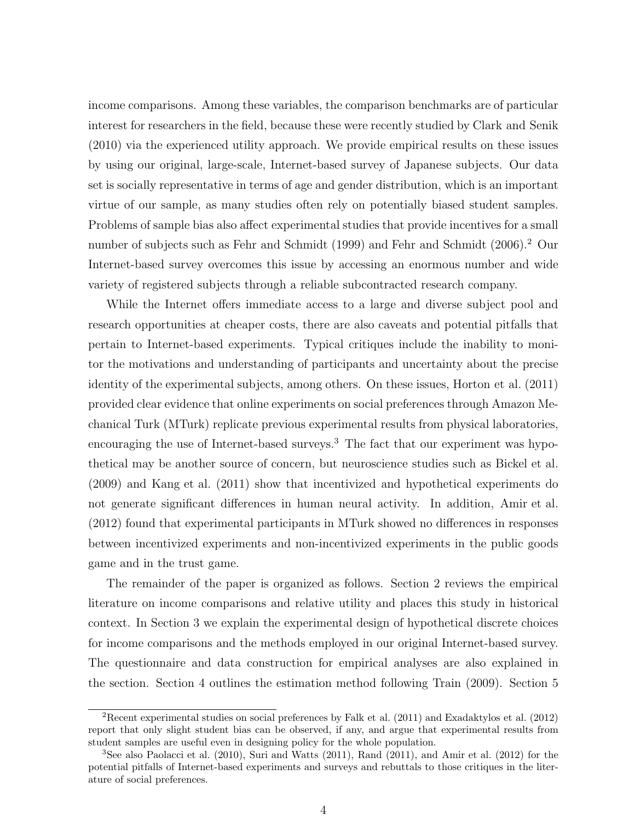income comparisons. Among these variables, the comparison benchmarks are of particular interest for researchers in the field, because these were recently studied by Clark and Senik (2010) via the experienced utility approach. We provide empirical results on these issues by using our original, large-scale, Internet-based survey of Japanese subjects. Our data set is socially representative in terms of age and gender distribution, which is an important virtue of our sample, as many studies often rely on potentially biased student samples. Problems of sample bias also affect experimental studies that provide incentives for a small number of subjects such as Fehr and Schmidt (1999) and Fehr and Schmidt (2006).<sup>2</sup> Our Internet-based survey overcomes this issue by accessing an enormous number and wide variety of registered subjects through a reliable subcontracted research company.

While the Internet offers immediate access to a large and diverse subject pool and research opportunities at cheaper costs, there are also caveats and potential pitfalls that pertain to Internet-based experiments. Typical critiques include the inability to monitor the motivations and understanding of participants and uncertainty about the precise identity of the experimental subjects, among others. On these issues, Horton et al. (2011) provided clear evidence that online experiments on social preferences through Amazon Mechanical Turk (MTurk) replicate previous experimental results from physical laboratories, encouraging the use of Internet-based surveys.<sup>3</sup> The fact that our experiment was hypothetical may be another source of concern, but neuroscience studies such as Bickel et al. (2009) and Kang et al. (2011) show that incentivized and hypothetical experiments do not generate significant differences in human neural activity. In addition, Amir et al. (2012) found that experimental participants in MTurk showed no differences in responses between incentivized experiments and non-incentivized experiments in the public goods game and in the trust game.

The remainder of the paper is organized as follows. Section 2 reviews the empirical literature on income comparisons and relative utility and places this study in historical context. In Section 3 we explain the experimental design of hypothetical discrete choices for income comparisons and the methods employed in our original Internet-based survey. The questionnaire and data construction for empirical analyses are also explained in the section. Section 4 outlines the estimation method following Train (2009). Section 5

<sup>2</sup>Recent experimental studies on social preferences by Falk et al. (2011) and Exadaktylos et al. (2012) report that only slight student bias can be observed, if any, and argue that experimental results from student samples are useful even in designing policy for the whole population.

<sup>3</sup>See also Paolacci et al. (2010), Suri and Watts (2011), Rand (2011), and Amir et al. (2012) for the potential pitfalls of Internet-based experiments and surveys and rebuttals to those critiques in the literature of social preferences.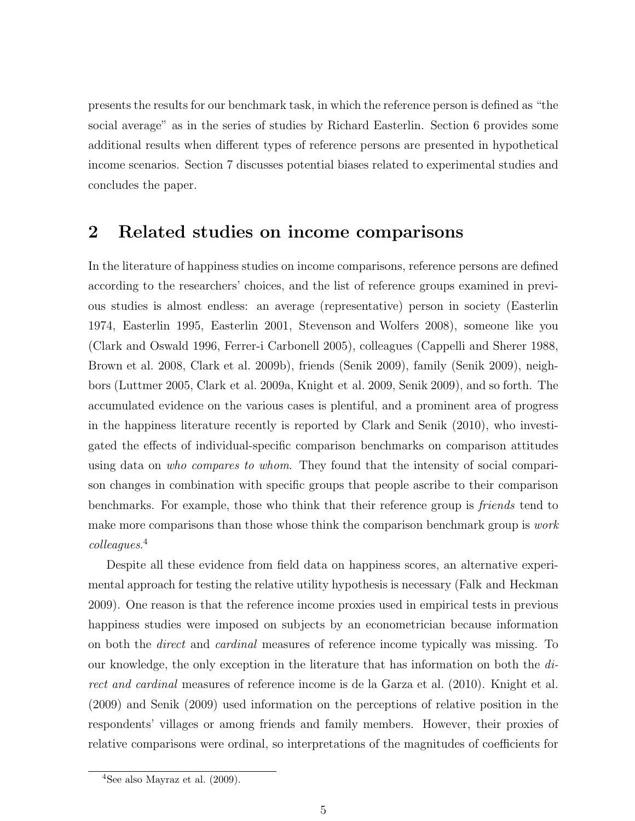presents the results for our benchmark task, in which the reference person is defined as "the social average" as in the series of studies by Richard Easterlin. Section 6 provides some additional results when different types of reference persons are presented in hypothetical income scenarios. Section 7 discusses potential biases related to experimental studies and concludes the paper.

# **2 Related studies on income comparisons**

In the literature of happiness studies on income comparisons, reference persons are defined according to the researchers' choices, and the list of reference groups examined in previous studies is almost endless: an average (representative) person in society (Easterlin 1974, Easterlin 1995, Easterlin 2001, Stevenson and Wolfers 2008), someone like you (Clark and Oswald 1996, Ferrer-i Carbonell 2005), colleagues (Cappelli and Sherer 1988, Brown et al. 2008, Clark et al. 2009b), friends (Senik 2009), family (Senik 2009), neighbors (Luttmer 2005, Clark et al. 2009a, Knight et al. 2009, Senik 2009), and so forth. The accumulated evidence on the various cases is plentiful, and a prominent area of progress in the happiness literature recently is reported by Clark and Senik (2010), who investigated the effects of individual-specific comparison benchmarks on comparison attitudes using data on *who compares to whom*. They found that the intensity of social comparison changes in combination with specific groups that people ascribe to their comparison benchmarks. For example, those who think that their reference group is *friends* tend to make more comparisons than those whose think the comparison benchmark group is *work colleagues*. 4

Despite all these evidence from field data on happiness scores, an alternative experimental approach for testing the relative utility hypothesis is necessary (Falk and Heckman 2009). One reason is that the reference income proxies used in empirical tests in previous happiness studies were imposed on subjects by an econometrician because information on both the *direct* and *cardinal* measures of reference income typically was missing. To our knowledge, the only exception in the literature that has information on both the *direct and cardinal* measures of reference income is de la Garza et al. (2010). Knight et al. (2009) and Senik (2009) used information on the perceptions of relative position in the respondents' villages or among friends and family members. However, their proxies of relative comparisons were ordinal, so interpretations of the magnitudes of coefficients for

 $4$ See also Mayraz et al.  $(2009)$ .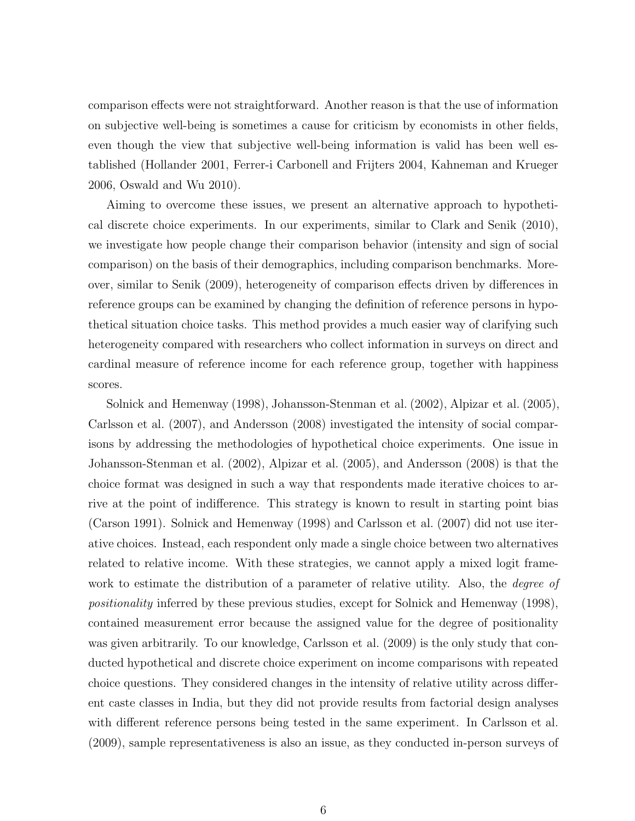comparison effects were not straightforward. Another reason is that the use of information on subjective well-being is sometimes a cause for criticism by economists in other fields, even though the view that subjective well-being information is valid has been well established (Hollander 2001, Ferrer-i Carbonell and Frijters 2004, Kahneman and Krueger 2006, Oswald and Wu 2010).

Aiming to overcome these issues, we present an alternative approach to hypothetical discrete choice experiments. In our experiments, similar to Clark and Senik (2010), we investigate how people change their comparison behavior (intensity and sign of social comparison) on the basis of their demographics, including comparison benchmarks. Moreover, similar to Senik (2009), heterogeneity of comparison effects driven by differences in reference groups can be examined by changing the definition of reference persons in hypothetical situation choice tasks. This method provides a much easier way of clarifying such heterogeneity compared with researchers who collect information in surveys on direct and cardinal measure of reference income for each reference group, together with happiness scores.

Solnick and Hemenway (1998), Johansson-Stenman et al. (2002), Alpizar et al. (2005), Carlsson et al. (2007), and Andersson (2008) investigated the intensity of social comparisons by addressing the methodologies of hypothetical choice experiments. One issue in Johansson-Stenman et al. (2002), Alpizar et al. (2005), and Andersson (2008) is that the choice format was designed in such a way that respondents made iterative choices to arrive at the point of indifference. This strategy is known to result in starting point bias (Carson 1991). Solnick and Hemenway (1998) and Carlsson et al. (2007) did not use iterative choices. Instead, each respondent only made a single choice between two alternatives related to relative income. With these strategies, we cannot apply a mixed logit framework to estimate the distribution of a parameter of relative utility. Also, the *degree of positionality* inferred by these previous studies, except for Solnick and Hemenway (1998), contained measurement error because the assigned value for the degree of positionality was given arbitrarily. To our knowledge, Carlsson et al. (2009) is the only study that conducted hypothetical and discrete choice experiment on income comparisons with repeated choice questions. They considered changes in the intensity of relative utility across different caste classes in India, but they did not provide results from factorial design analyses with different reference persons being tested in the same experiment. In Carlsson et al. (2009), sample representativeness is also an issue, as they conducted in-person surveys of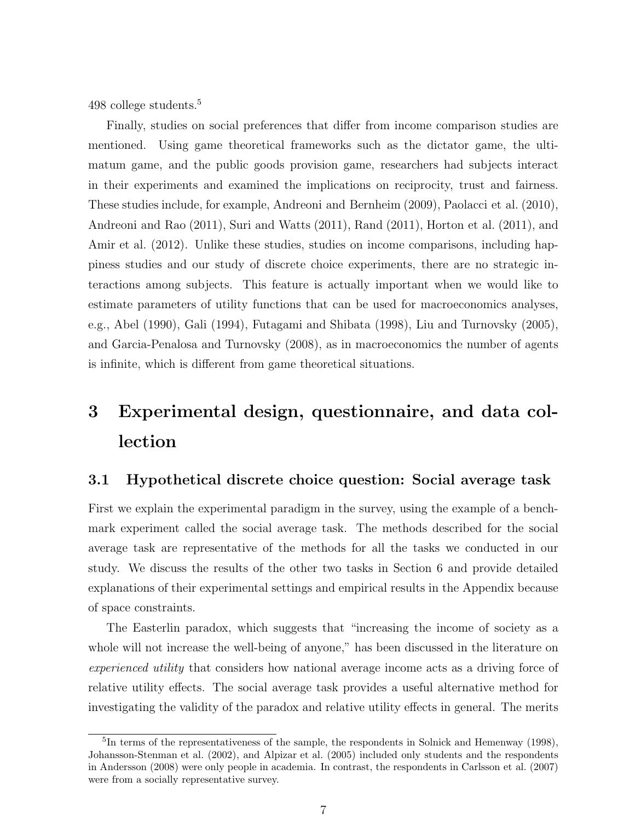498 college students.<sup>5</sup>

Finally, studies on social preferences that differ from income comparison studies are mentioned. Using game theoretical frameworks such as the dictator game, the ultimatum game, and the public goods provision game, researchers had subjects interact in their experiments and examined the implications on reciprocity, trust and fairness. These studies include, for example, Andreoni and Bernheim (2009), Paolacci et al. (2010), Andreoni and Rao (2011), Suri and Watts (2011), Rand (2011), Horton et al. (2011), and Amir et al. (2012). Unlike these studies, studies on income comparisons, including happiness studies and our study of discrete choice experiments, there are no strategic interactions among subjects. This feature is actually important when we would like to estimate parameters of utility functions that can be used for macroeconomics analyses, e.g., Abel (1990), Gali (1994), Futagami and Shibata (1998), Liu and Turnovsky (2005), and Garcia-Penalosa and Turnovsky (2008), as in macroeconomics the number of agents is infinite, which is different from game theoretical situations.

# **3 Experimental design, questionnaire, and data collection**

#### **3.1 Hypothetical discrete choice question: Social average task**

First we explain the experimental paradigm in the survey, using the example of a benchmark experiment called the social average task. The methods described for the social average task are representative of the methods for all the tasks we conducted in our study. We discuss the results of the other two tasks in Section 6 and provide detailed explanations of their experimental settings and empirical results in the Appendix because of space constraints.

The Easterlin paradox, which suggests that "increasing the income of society as a whole will not increase the well-being of anyone," has been discussed in the literature on *experienced utility* that considers how national average income acts as a driving force of relative utility effects. The social average task provides a useful alternative method for investigating the validity of the paradox and relative utility effects in general. The merits

<sup>&</sup>lt;sup>5</sup>In terms of the representativeness of the sample, the respondents in Solnick and Hemenway (1998), Johansson-Stenman et al. (2002), and Alpizar et al. (2005) included only students and the respondents in Andersson (2008) were only people in academia. In contrast, the respondents in Carlsson et al. (2007) were from a socially representative survey.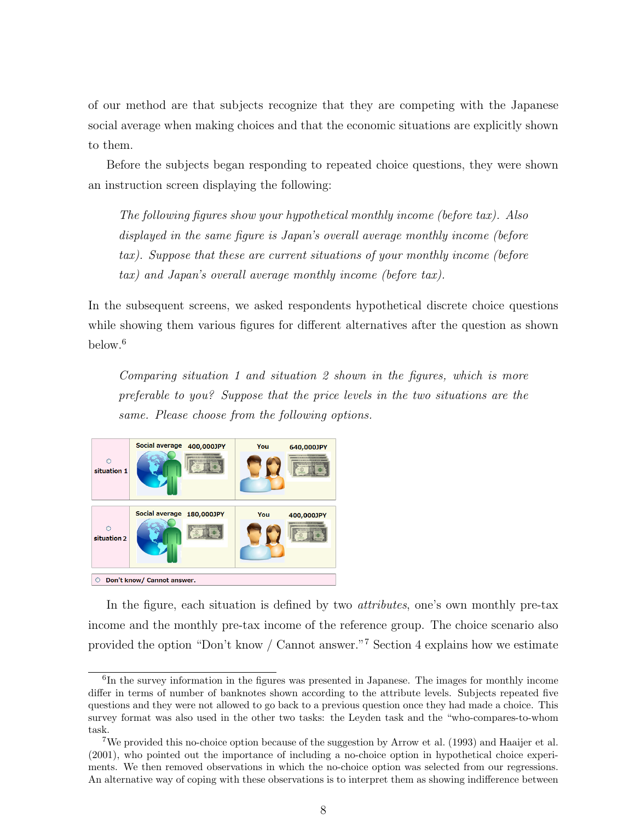of our method are that subjects recognize that they are competing with the Japanese social average when making choices and that the economic situations are explicitly shown to them.

Before the subjects began responding to repeated choice questions, they were shown an instruction screen displaying the following:

*The following figures show your hypothetical monthly income (before tax). Also displayed in the same figure is Japan's overall average monthly income (before tax). Suppose that these are current situations of your monthly income (before tax) and Japan's overall average monthly income (before tax).*

In the subsequent screens, we asked respondents hypothetical discrete choice questions while showing them various figures for different alternatives after the question as shown below.<sup>6</sup>

*Comparing situation 1 and situation 2 shown in the figures, which is more preferable to you? Suppose that the price levels in the two situations are the same. Please choose from the following options.*



In the figure, each situation is defined by two *attributes*, one's own monthly pre-tax income and the monthly pre-tax income of the reference group. The choice scenario also provided the option "Don't know / Cannot answer."<sup>7</sup> Section 4 explains how we estimate

<sup>&</sup>lt;sup>6</sup>In the survey information in the figures was presented in Japanese. The images for monthly income differ in terms of number of banknotes shown according to the attribute levels. Subjects repeated five questions and they were not allowed to go back to a previous question once they had made a choice. This survey format was also used in the other two tasks: the Leyden task and the "who-compares-to-whom task.

<sup>7</sup>We provided this no-choice option because of the suggestion by Arrow et al. (1993) and Haaijer et al. (2001), who pointed out the importance of including a no-choice option in hypothetical choice experiments. We then removed observations in which the no-choice option was selected from our regressions. An alternative way of coping with these observations is to interpret them as showing indifference between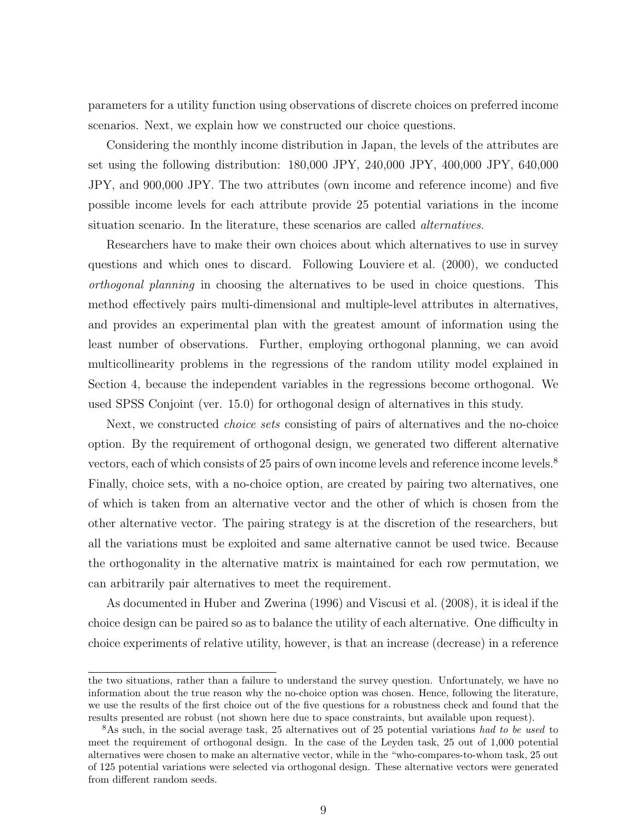parameters for a utility function using observations of discrete choices on preferred income scenarios. Next, we explain how we constructed our choice questions.

Considering the monthly income distribution in Japan, the levels of the attributes are set using the following distribution: 180,000 JPY, 240,000 JPY, 400,000 JPY, 640,000 JPY, and 900,000 JPY. The two attributes (own income and reference income) and five possible income levels for each attribute provide 25 potential variations in the income situation scenario. In the literature, these scenarios are called *alternatives*.

Researchers have to make their own choices about which alternatives to use in survey questions and which ones to discard. Following Louviere et al. (2000), we conducted *orthogonal planning* in choosing the alternatives to be used in choice questions. This method effectively pairs multi-dimensional and multiple-level attributes in alternatives, and provides an experimental plan with the greatest amount of information using the least number of observations. Further, employing orthogonal planning, we can avoid multicollinearity problems in the regressions of the random utility model explained in Section 4, because the independent variables in the regressions become orthogonal. We used SPSS Conjoint (ver. 15.0) for orthogonal design of alternatives in this study.

Next, we constructed *choice sets* consisting of pairs of alternatives and the no-choice option. By the requirement of orthogonal design, we generated two different alternative vectors, each of which consists of 25 pairs of own income levels and reference income levels.<sup>8</sup> Finally, choice sets, with a no-choice option, are created by pairing two alternatives, one of which is taken from an alternative vector and the other of which is chosen from the other alternative vector. The pairing strategy is at the discretion of the researchers, but all the variations must be exploited and same alternative cannot be used twice. Because the orthogonality in the alternative matrix is maintained for each row permutation, we can arbitrarily pair alternatives to meet the requirement.

As documented in Huber and Zwerina (1996) and Viscusi et al. (2008), it is ideal if the choice design can be paired so as to balance the utility of each alternative. One difficulty in choice experiments of relative utility, however, is that an increase (decrease) in a reference

the two situations, rather than a failure to understand the survey question. Unfortunately, we have no information about the true reason why the no-choice option was chosen. Hence, following the literature, we use the results of the first choice out of the five questions for a robustness check and found that the results presented are robust (not shown here due to space constraints, but available upon request).

<sup>8</sup>As such, in the social average task, 25 alternatives out of 25 potential variations *had to be used* to meet the requirement of orthogonal design. In the case of the Leyden task, 25 out of 1,000 potential alternatives were chosen to make an alternative vector, while in the "who-compares-to-whom task, 25 out of 125 potential variations were selected via orthogonal design. These alternative vectors were generated from different random seeds.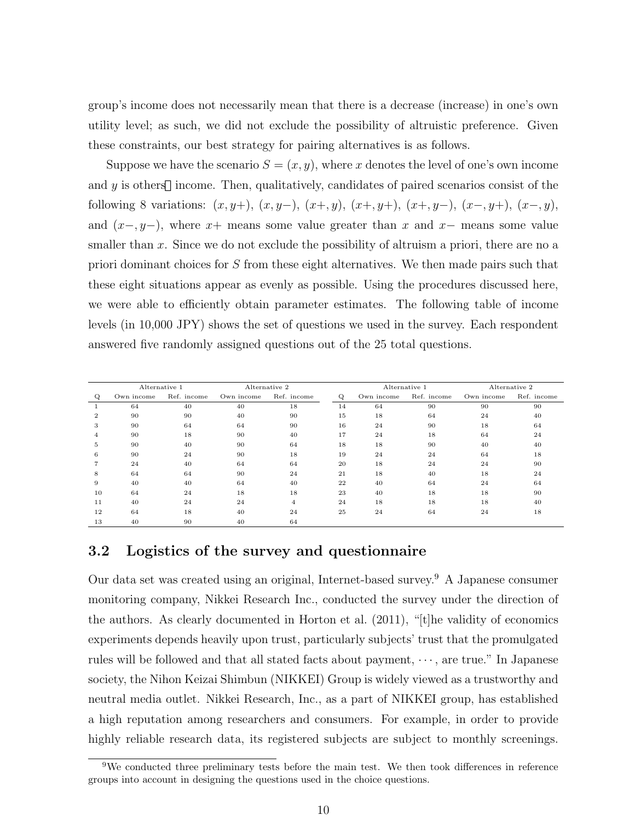group's income does not necessarily mean that there is a decrease (increase) in one's own utility level; as such, we did not exclude the possibility of altruistic preference. Given these constraints, our best strategy for pairing alternatives is as follows.

Suppose we have the scenario  $S = (x, y)$ , where *x* denotes the level of one's own income and *y* is others income. Then, qualitatively, candidates of paired scenarios consist of the following 8 variations: (*x, y*+), (*x, y−*), (*x*+*, y*), (*x*+*, y*+), (*x*+*, y−*), (*x−, y*+), (*x−, y*), and  $(x-, y-)$ , where  $x+$  means some value greater than  $x$  and  $x-$  means some value smaller than x. Since we do not exclude the possibility of altruism a priori, there are no a priori dominant choices for *S* from these eight alternatives. We then made pairs such that these eight situations appear as evenly as possible. Using the procedures discussed here, we were able to efficiently obtain parameter estimates. The following table of income levels (in 10,000 JPY) shows the set of questions we used in the survey. Each respondent answered five randomly assigned questions out of the 25 total questions.

|                | Alternative 1 |             |            | Alternative 2  |              |            | Alternative 1 |            | Alternative 2 |
|----------------|---------------|-------------|------------|----------------|--------------|------------|---------------|------------|---------------|
| $\mathbf{Q}$   | Own income    | Ref. income | Own income | Ref. income    | $\mathbf{Q}$ | Own income | Ref. income   | Own income | Ref. income   |
|                | 64            | 40          | 40         | 18             | 14           | 64         | 90            | 90         | 90            |
| $\overline{2}$ | 90            | 90          | 40         | 90             | 15           | 18         | 64            | 24         | 40            |
| 3              | 90            | 64          | 64         | 90             | 16           | 24         | 90            | 18         | 64            |
| 4              | 90            | 18          | 90         | 40             | 17           | 24         | 18            | 64         | 24            |
| 5              | 90            | 40          | 90         | 64             | 18           | 18         | 90            | 40         | 40            |
| 6              | 90            | 24          | 90         | 18             | 19           | 24         | 24            | 64         | 18            |
|                | 24            | 40          | 64         | 64             | 20           | 18         | 24            | 24         | 90            |
| 8              | 64            | 64          | 90         | 24             | 21           | 18         | 40            | 18         | 24            |
| 9              | 40            | 40          | 64         | 40             | 22           | 40         | 64            | 24         | 64            |
| 10             | 64            | 24          | 18         | 18             | 23           | 40         | 18            | 18         | 90            |
| 11             | 40            | 24          | 24         | $\overline{4}$ | 24           | 18         | 18            | 18         | 40            |
| 12             | 64            | 18          | 40         | 24             | 25           | 24         | 64            | 24         | 18            |
| 13             | 40            | 90          | 40         | 64             |              |            |               |            |               |

#### **3.2 Logistics of the survey and questionnaire**

Our data set was created using an original, Internet-based survey.<sup>9</sup> A Japanese consumer monitoring company, Nikkei Research Inc., conducted the survey under the direction of the authors. As clearly documented in Horton et al. (2011), "[t]he validity of economics experiments depends heavily upon trust, particularly subjects' trust that the promulgated rules will be followed and that all stated facts about payment, *· · ·* , are true." In Japanese society, the Nihon Keizai Shimbun (NIKKEI) Group is widely viewed as a trustworthy and neutral media outlet. Nikkei Research, Inc., as a part of NIKKEI group, has established a high reputation among researchers and consumers. For example, in order to provide highly reliable research data, its registered subjects are subject to monthly screenings.

<sup>9</sup>We conducted three preliminary tests before the main test. We then took differences in reference groups into account in designing the questions used in the choice questions.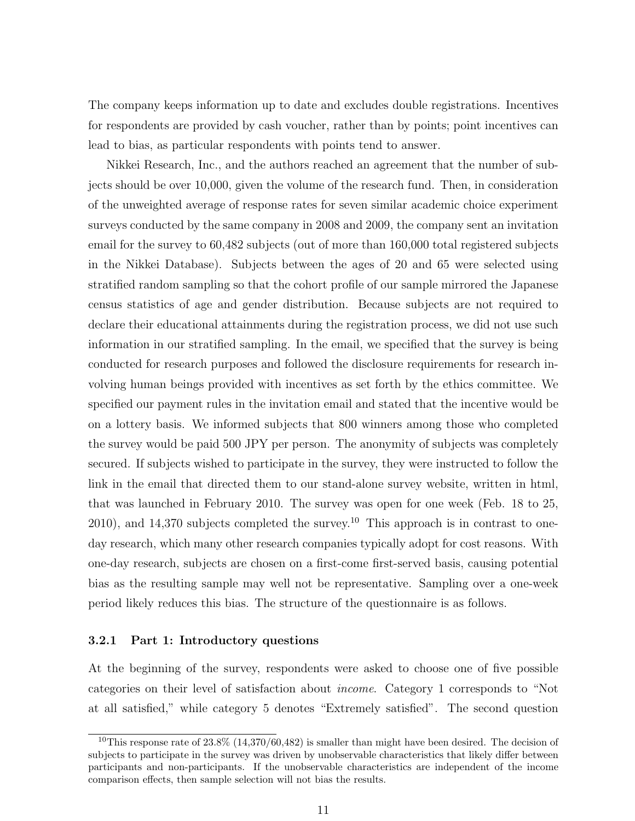The company keeps information up to date and excludes double registrations. Incentives for respondents are provided by cash voucher, rather than by points; point incentives can lead to bias, as particular respondents with points tend to answer.

Nikkei Research, Inc., and the authors reached an agreement that the number of subjects should be over 10,000, given the volume of the research fund. Then, in consideration of the unweighted average of response rates for seven similar academic choice experiment surveys conducted by the same company in 2008 and 2009, the company sent an invitation email for the survey to 60,482 subjects (out of more than 160,000 total registered subjects in the Nikkei Database). Subjects between the ages of 20 and 65 were selected using stratified random sampling so that the cohort profile of our sample mirrored the Japanese census statistics of age and gender distribution. Because subjects are not required to declare their educational attainments during the registration process, we did not use such information in our stratified sampling. In the email, we specified that the survey is being conducted for research purposes and followed the disclosure requirements for research involving human beings provided with incentives as set forth by the ethics committee. We specified our payment rules in the invitation email and stated that the incentive would be on a lottery basis. We informed subjects that 800 winners among those who completed the survey would be paid 500 JPY per person. The anonymity of subjects was completely secured. If subjects wished to participate in the survey, they were instructed to follow the link in the email that directed them to our stand-alone survey website, written in html, that was launched in February 2010. The survey was open for one week (Feb. 18 to 25,  $2010$ ), and 14,370 subjects completed the survey.<sup>10</sup> This approach is in contrast to oneday research, which many other research companies typically adopt for cost reasons. With one-day research, subjects are chosen on a first-come first-served basis, causing potential bias as the resulting sample may well not be representative. Sampling over a one-week period likely reduces this bias. The structure of the questionnaire is as follows.

#### **3.2.1 Part 1: Introductory questions**

At the beginning of the survey, respondents were asked to choose one of five possible categories on their level of satisfaction about *income*. Category 1 corresponds to "Not at all satisfied," while category 5 denotes "Extremely satisfied". The second question

<sup>&</sup>lt;sup>10</sup>This response rate of 23.8% (14.370/60.482) is smaller than might have been desired. The decision of subjects to participate in the survey was driven by unobservable characteristics that likely differ between participants and non-participants. If the unobservable characteristics are independent of the income comparison effects, then sample selection will not bias the results.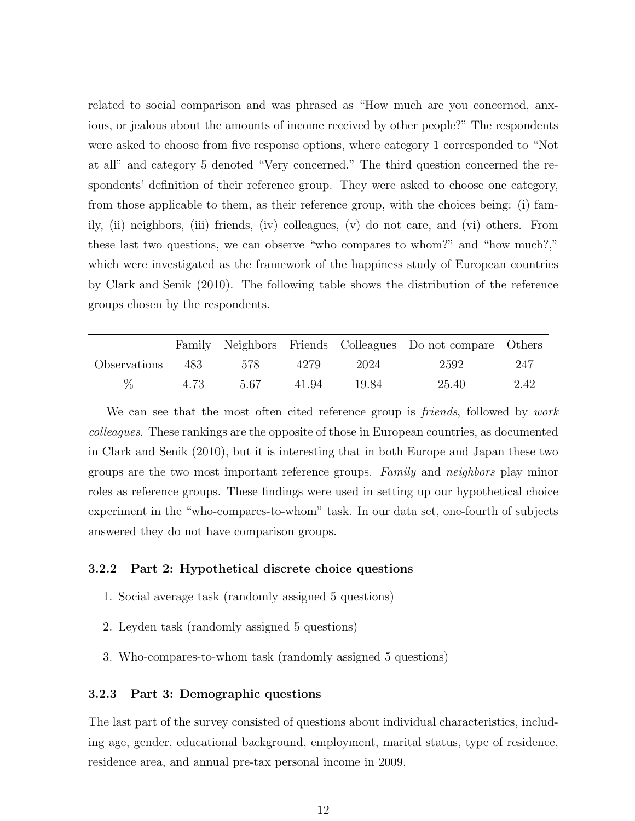related to social comparison and was phrased as "How much are you concerned, anxious, or jealous about the amounts of income received by other people?" The respondents were asked to choose from five response options, where category 1 corresponded to "Not at all" and category 5 denoted "Very concerned." The third question concerned the respondents' definition of their reference group. They were asked to choose one category, from those applicable to them, as their reference group, with the choices being: (i) family, (ii) neighbors, (iii) friends, (iv) colleagues, (v) do not care, and (vi) others. From these last two questions, we can observe "who compares to whom?" and "how much?," which were investigated as the framework of the happiness study of European countries by Clark and Senik (2010). The following table shows the distribution of the reference groups chosen by the respondents.

|              |      |      |       |       | Family Neighbors Friends Colleagues Do not compare Others |      |
|--------------|------|------|-------|-------|-----------------------------------------------------------|------|
| Observations | 483. | 578  | 4279  | 2024  | 2592                                                      | 247  |
|              | 4.73 | 5.67 | 41.94 | 19.84 | 25.40                                                     | 2.42 |

We can see that the most often cited reference group is *friends*, followed by *work colleagues*. These rankings are the opposite of those in European countries, as documented in Clark and Senik (2010), but it is interesting that in both Europe and Japan these two groups are the two most important reference groups. *Family* and *neighbors* play minor roles as reference groups. These findings were used in setting up our hypothetical choice experiment in the "who-compares-to-whom" task. In our data set, one-fourth of subjects answered they do not have comparison groups.

#### **3.2.2 Part 2: Hypothetical discrete choice questions**

- 1. Social average task (randomly assigned 5 questions)
- 2. Leyden task (randomly assigned 5 questions)
- 3. Who-compares-to-whom task (randomly assigned 5 questions)

#### **3.2.3 Part 3: Demographic questions**

The last part of the survey consisted of questions about individual characteristics, including age, gender, educational background, employment, marital status, type of residence, residence area, and annual pre-tax personal income in 2009.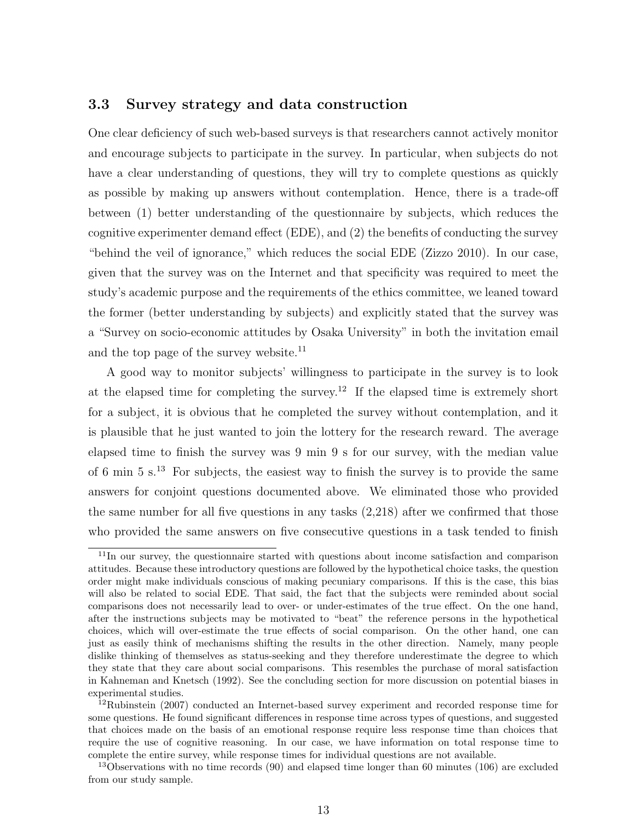#### **3.3 Survey strategy and data construction**

One clear deficiency of such web-based surveys is that researchers cannot actively monitor and encourage subjects to participate in the survey. In particular, when subjects do not have a clear understanding of questions, they will try to complete questions as quickly as possible by making up answers without contemplation. Hence, there is a trade-off between (1) better understanding of the questionnaire by subjects, which reduces the cognitive experimenter demand effect (EDE), and (2) the benefits of conducting the survey "behind the veil of ignorance," which reduces the social EDE (Zizzo 2010). In our case, given that the survey was on the Internet and that specificity was required to meet the study's academic purpose and the requirements of the ethics committee, we leaned toward the former (better understanding by subjects) and explicitly stated that the survey was a "Survey on socio-economic attitudes by Osaka University" in both the invitation email and the top page of the survey website.<sup>11</sup>

A good way to monitor subjects' willingness to participate in the survey is to look at the elapsed time for completing the survey.<sup>12</sup> If the elapsed time is extremely short for a subject, it is obvious that he completed the survey without contemplation, and it is plausible that he just wanted to join the lottery for the research reward. The average elapsed time to finish the survey was 9 min 9 s for our survey, with the median value of 6 min  $5 \text{ s}^{13}$ . For subjects, the easiest way to finish the survey is to provide the same answers for conjoint questions documented above. We eliminated those who provided the same number for all five questions in any tasks  $(2,218)$  after we confirmed that those who provided the same answers on five consecutive questions in a task tended to finish

<sup>&</sup>lt;sup>11</sup>In our survey, the questionnaire started with questions about income satisfaction and comparison attitudes. Because these introductory questions are followed by the hypothetical choice tasks, the question order might make individuals conscious of making pecuniary comparisons. If this is the case, this bias will also be related to social EDE. That said, the fact that the subjects were reminded about social comparisons does not necessarily lead to over- or under-estimates of the true effect. On the one hand, after the instructions subjects may be motivated to "beat" the reference persons in the hypothetical choices, which will over-estimate the true effects of social comparison. On the other hand, one can just as easily think of mechanisms shifting the results in the other direction. Namely, many people dislike thinking of themselves as status-seeking and they therefore underestimate the degree to which they state that they care about social comparisons. This resembles the purchase of moral satisfaction in Kahneman and Knetsch (1992). See the concluding section for more discussion on potential biases in experimental studies.

<sup>&</sup>lt;sup>12</sup>Rubinstein (2007) conducted an Internet-based survey experiment and recorded response time for some questions. He found significant differences in response time across types of questions, and suggested that choices made on the basis of an emotional response require less response time than choices that require the use of cognitive reasoning. In our case, we have information on total response time to complete the entire survey, while response times for individual questions are not available.

<sup>13</sup>Observations with no time records (90) and elapsed time longer than 60 minutes (106) are excluded from our study sample.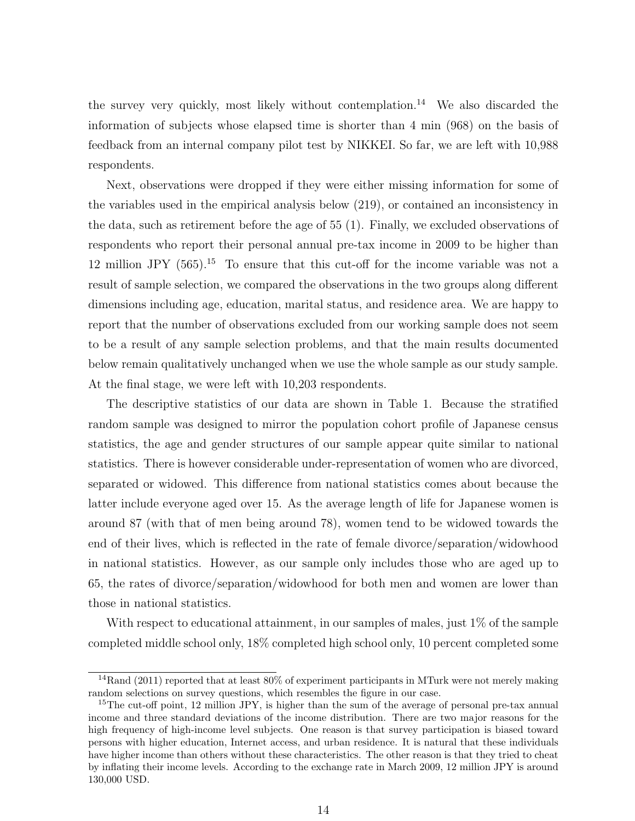the survey very quickly, most likely without contemplation.<sup>14</sup> We also discarded the information of subjects whose elapsed time is shorter than 4 min (968) on the basis of feedback from an internal company pilot test by NIKKEI. So far, we are left with 10,988 respondents.

Next, observations were dropped if they were either missing information for some of the variables used in the empirical analysis below (219), or contained an inconsistency in the data, such as retirement before the age of 55 (1). Finally, we excluded observations of respondents who report their personal annual pre-tax income in 2009 to be higher than 12 million JPY  $(565)$ .<sup>15</sup> To ensure that this cut-off for the income variable was not a result of sample selection, we compared the observations in the two groups along different dimensions including age, education, marital status, and residence area. We are happy to report that the number of observations excluded from our working sample does not seem to be a result of any sample selection problems, and that the main results documented below remain qualitatively unchanged when we use the whole sample as our study sample. At the final stage, we were left with 10,203 respondents.

The descriptive statistics of our data are shown in Table 1. Because the stratified random sample was designed to mirror the population cohort profile of Japanese census statistics, the age and gender structures of our sample appear quite similar to national statistics. There is however considerable under-representation of women who are divorced, separated or widowed. This difference from national statistics comes about because the latter include everyone aged over 15. As the average length of life for Japanese women is around 87 (with that of men being around 78), women tend to be widowed towards the end of their lives, which is reflected in the rate of female divorce/separation/widowhood in national statistics. However, as our sample only includes those who are aged up to 65, the rates of divorce/separation/widowhood for both men and women are lower than those in national statistics.

With respect to educational attainment, in our samples of males, just 1\% of the sample completed middle school only, 18% completed high school only, 10 percent completed some

<sup>14</sup>Rand (2011) reported that at least 80% of experiment participants in MTurk were not merely making random selections on survey questions, which resembles the figure in our case.

<sup>&</sup>lt;sup>15</sup>The cut-off point, 12 million JPY, is higher than the sum of the average of personal pre-tax annual income and three standard deviations of the income distribution. There are two major reasons for the high frequency of high-income level subjects. One reason is that survey participation is biased toward persons with higher education, Internet access, and urban residence. It is natural that these individuals have higher income than others without these characteristics. The other reason is that they tried to cheat by inflating their income levels. According to the exchange rate in March 2009, 12 million JPY is around 130,000 USD.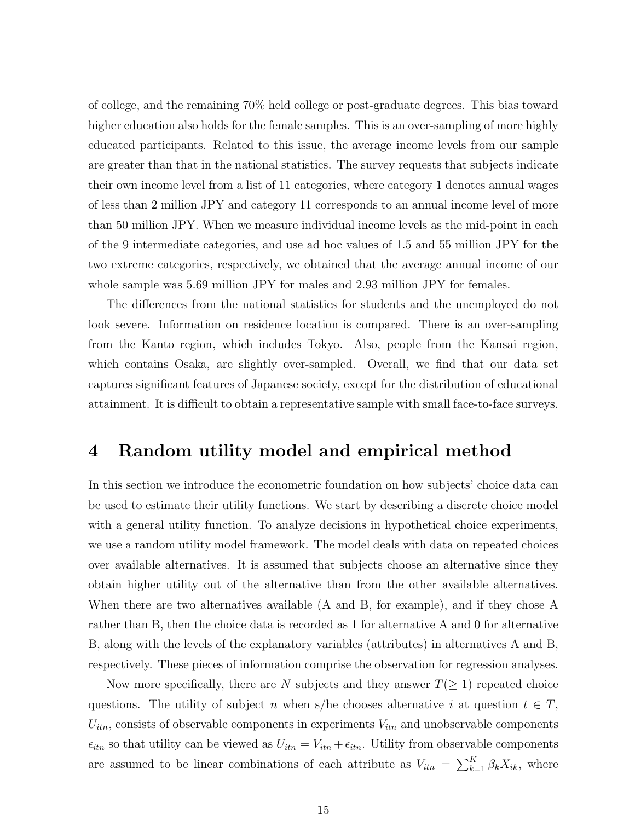of college, and the remaining 70% held college or post-graduate degrees. This bias toward higher education also holds for the female samples. This is an over-sampling of more highly educated participants. Related to this issue, the average income levels from our sample are greater than that in the national statistics. The survey requests that subjects indicate their own income level from a list of 11 categories, where category 1 denotes annual wages of less than 2 million JPY and category 11 corresponds to an annual income level of more than 50 million JPY. When we measure individual income levels as the mid-point in each of the 9 intermediate categories, and use ad hoc values of 1.5 and 55 million JPY for the two extreme categories, respectively, we obtained that the average annual income of our whole sample was 5.69 million JPY for males and 2.93 million JPY for females.

The differences from the national statistics for students and the unemployed do not look severe. Information on residence location is compared. There is an over-sampling from the Kanto region, which includes Tokyo. Also, people from the Kansai region, which contains Osaka, are slightly over-sampled. Overall, we find that our data set captures significant features of Japanese society, except for the distribution of educational attainment. It is difficult to obtain a representative sample with small face-to-face surveys.

## **4 Random utility model and empirical method**

In this section we introduce the econometric foundation on how subjects' choice data can be used to estimate their utility functions. We start by describing a discrete choice model with a general utility function. To analyze decisions in hypothetical choice experiments, we use a random utility model framework. The model deals with data on repeated choices over available alternatives. It is assumed that subjects choose an alternative since they obtain higher utility out of the alternative than from the other available alternatives. When there are two alternatives available (A and B, for example), and if they chose A rather than B, then the choice data is recorded as 1 for alternative A and 0 for alternative B, along with the levels of the explanatory variables (attributes) in alternatives A and B, respectively. These pieces of information comprise the observation for regression analyses.

Now more specifically, there are *N* subjects and they answer  $T(\geq 1)$  repeated choice questions. The utility of subject *n* when s/he chooses alternative *i* at question  $t \in T$ ,  $U_{itn}$ , consists of observable components in experiments  $V_{itn}$  and unobservable components  $\epsilon_{itn}$  so that utility can be viewed as  $U_{itn} = V_{itn} + \epsilon_{itn}$ . Utility from observable components are assumed to be linear combinations of each attribute as  $V_{itn} = \sum_{k=1}^{K} \beta_k X_{ik}$ , where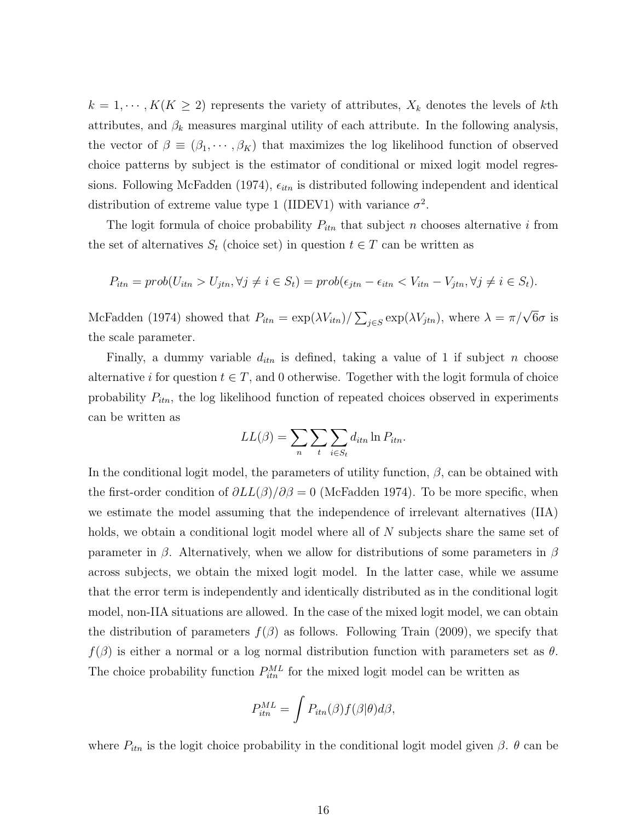$k = 1, \dots, K(K \geq 2)$  represents the variety of attributes,  $X_k$  denotes the levels of kth attributes, and  $\beta_k$  measures marginal utility of each attribute. In the following analysis, the vector of  $\beta \equiv (\beta_1, \dots, \beta_K)$  that maximizes the log likelihood function of observed choice patterns by subject is the estimator of conditional or mixed logit model regressions. Following McFadden (1974),  $\epsilon_{itn}$  is distributed following independent and identical distribution of extreme value type 1 (IIDEV1) with variance  $\sigma^2$ .

The logit formula of choice probability  $P_{itn}$  that subject *n* chooses alternative *i* from the set of alternatives  $S_t$  (choice set) in question  $t \in T$  can be written as

$$
P_{itn} = prob(U_{itn} > U_{jtn}, \forall j \neq i \in S_t) = prob(\epsilon_{jtn} - \epsilon_{itn} < V_{itn} - V_{jtn}, \forall j \neq i \in S_t).
$$

McFadden (1974) showed that  $P_{itn} = \exp(\lambda V_{itn}) / \sum_{j \in S} \exp(\lambda V_{jtn})$ , where  $\lambda = \pi / \sqrt{6\sigma}$  is the scale parameter.

Finally, a dummy variable  $d_{itn}$  is defined, taking a value of 1 if subject *n* choose alternative *i* for question  $t \in T$ , and 0 otherwise. Together with the logit formula of choice probability  $P_{itn}$ , the log likelihood function of repeated choices observed in experiments can be written as

$$
LL(\beta) = \sum_{n} \sum_{t} \sum_{i \in S_t} d_{itn} \ln P_{itn}.
$$

In the conditional logit model, the parameters of utility function,  $\beta$ , can be obtained with the first-order condition of *∂LL*(*β*)*/∂β* = 0 (McFadden 1974). To be more specific, when we estimate the model assuming that the independence of irrelevant alternatives (IIA) holds, we obtain a conditional logit model where all of N subjects share the same set of parameter in *β*. Alternatively, when we allow for distributions of some parameters in *β* across subjects, we obtain the mixed logit model. In the latter case, while we assume that the error term is independently and identically distributed as in the conditional logit model, non-IIA situations are allowed. In the case of the mixed logit model, we can obtain the distribution of parameters  $f(\beta)$  as follows. Following Train (2009), we specify that  $f(\beta)$  is either a normal or a log normal distribution function with parameters set as  $\theta$ . The choice probability function  $P_{itn}^{ML}$  for the mixed logit model can be written as

$$
P_{itn}^{ML} = \int P_{itn}(\beta) f(\beta | \theta) d\beta,
$$

where  $P_{itn}$  is the logit choice probability in the conditional logit model given  $\beta$ .  $\theta$  can be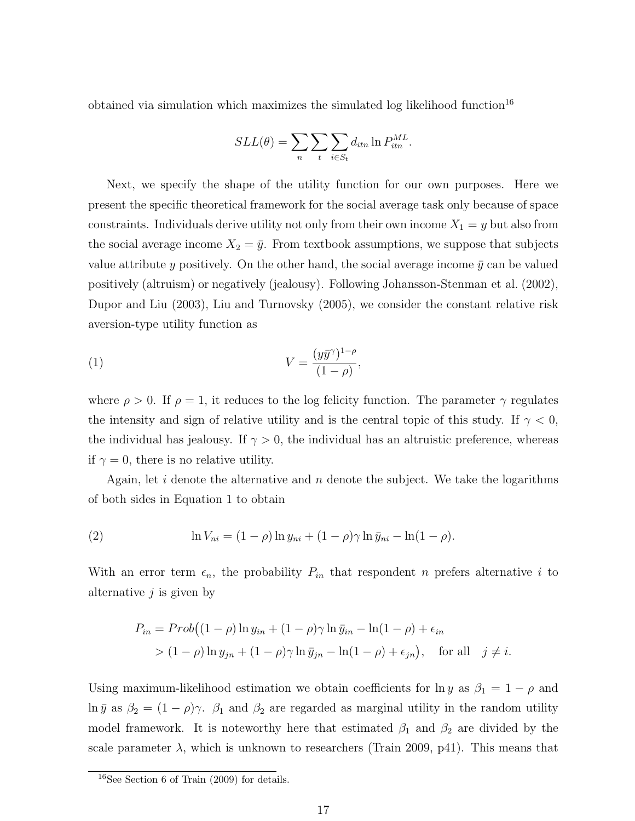obtained via simulation which maximizes the simulated log likelihood function<sup>16</sup>

$$
SLL(\theta) = \sum_{n} \sum_{t} \sum_{i \in S_t} d_{itn} \ln P_{itn}^{ML}.
$$

Next, we specify the shape of the utility function for our own purposes. Here we present the specific theoretical framework for the social average task only because of space constraints. Individuals derive utility not only from their own income  $X_1 = y$  but also from the social average income  $X_2 = \bar{y}$ . From textbook assumptions, we suppose that subjects value attribute *y* positively. On the other hand, the social average income  $\bar{y}$  can be valued positively (altruism) or negatively (jealousy). Following Johansson-Stenman et al. (2002), Dupor and Liu (2003), Liu and Turnovsky (2005), we consider the constant relative risk aversion-type utility function as

$$
(1) \t\t V = \frac{(y\bar{y})^{1-\rho}}{(1-\rho)},
$$

where  $\rho > 0$ . If  $\rho = 1$ , it reduces to the log felicity function. The parameter  $\gamma$  regulates the intensity and sign of relative utility and is the central topic of this study. If  $\gamma < 0$ , the individual has jealousy. If  $\gamma > 0$ , the individual has an altruistic preference, whereas if  $\gamma = 0$ , there is no relative utility.

Again, let *i* denote the alternative and *n* denote the subject. We take the logarithms of both sides in Equation 1 to obtain

(2) 
$$
\ln V_{ni} = (1 - \rho) \ln y_{ni} + (1 - \rho) \gamma \ln \bar{y}_{ni} - \ln(1 - \rho).
$$

With an error term  $\epsilon_n$ , the probability  $P_{in}$  that respondent *n* prefers alternative *i* to alternative *j* is given by

$$
P_{in} = Prob((1 - \rho) \ln y_{in} + (1 - \rho)\gamma \ln \bar{y}_{in} - \ln(1 - \rho) + \epsilon_{in}
$$
  
> (1 - \rho) \ln y\_{in} + (1 - \rho)\gamma \ln \bar{y}\_{in} - \ln(1 - \rho) + \epsilon\_{in}), for all  $j \neq i$ .

Using maximum-likelihood estimation we obtain coefficients for  $\ln y$  as  $\beta_1 = 1 - \rho$  and ln  $\bar{y}$  as  $\beta_2 = (1 - \rho)\gamma$ .  $\beta_1$  and  $\beta_2$  are regarded as marginal utility in the random utility model framework. It is noteworthy here that estimated  $\beta_1$  and  $\beta_2$  are divided by the scale parameter  $\lambda$ , which is unknown to researchers (Train 2009, p41). This means that

<sup>16</sup>See Section 6 of Train (2009) for details.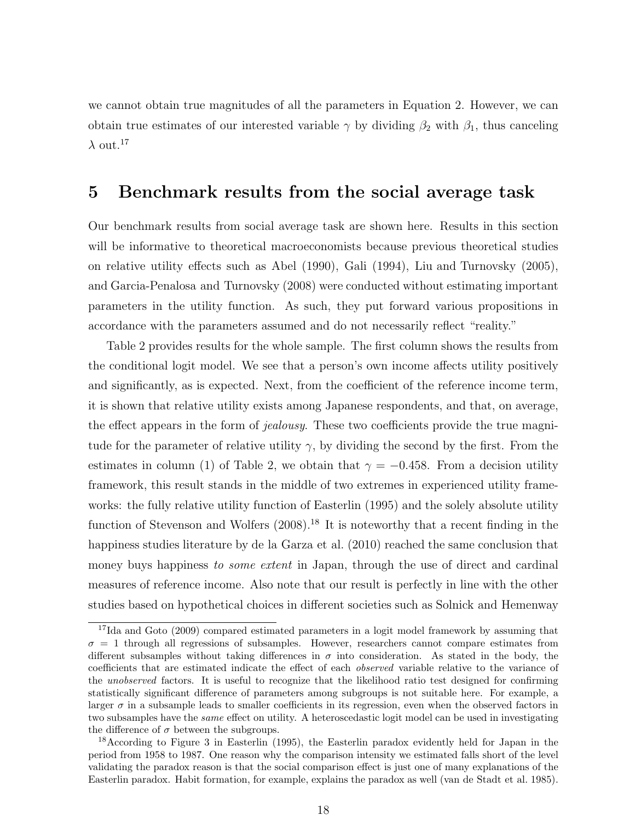we cannot obtain true magnitudes of all the parameters in Equation 2. However, we can obtain true estimates of our interested variable  $\gamma$  by dividing  $\beta_2$  with  $\beta_1$ , thus canceling  $λ$  out.<sup>17</sup>

### **5 Benchmark results from the social average task**

Our benchmark results from social average task are shown here. Results in this section will be informative to theoretical macroeconomists because previous theoretical studies on relative utility effects such as Abel (1990), Gali (1994), Liu and Turnovsky (2005), and Garcia-Penalosa and Turnovsky (2008) were conducted without estimating important parameters in the utility function. As such, they put forward various propositions in accordance with the parameters assumed and do not necessarily reflect "reality."

Table 2 provides results for the whole sample. The first column shows the results from the conditional logit model. We see that a person's own income affects utility positively and significantly, as is expected. Next, from the coefficient of the reference income term, it is shown that relative utility exists among Japanese respondents, and that, on average, the effect appears in the form of *jealousy*. These two coefficients provide the true magnitude for the parameter of relative utility  $\gamma$ , by dividing the second by the first. From the estimates in column (1) of Table 2, we obtain that  $\gamma = -0.458$ . From a decision utility framework, this result stands in the middle of two extremes in experienced utility frameworks: the fully relative utility function of Easterlin (1995) and the solely absolute utility function of Stevenson and Wolfers  $(2008).<sup>18</sup>$  It is noteworthy that a recent finding in the happiness studies literature by de la Garza et al. (2010) reached the same conclusion that money buys happiness *to some extent* in Japan, through the use of direct and cardinal measures of reference income. Also note that our result is perfectly in line with the other studies based on hypothetical choices in different societies such as Solnick and Hemenway

<sup>&</sup>lt;sup>17</sup>Ida and Goto (2009) compared estimated parameters in a logit model framework by assuming that  $\sigma = 1$  through all regressions of subsamples. However, researchers cannot compare estimates from different subsamples without taking differences in  $\sigma$  into consideration. As stated in the body, the coefficients that are estimated indicate the effect of each *observed* variable relative to the variance of the *unobserved* factors. It is useful to recognize that the likelihood ratio test designed for confirming statistically significant difference of parameters among subgroups is not suitable here. For example, a larger  $\sigma$  in a subsample leads to smaller coefficients in its regression, even when the observed factors in two subsamples have the *same* effect on utility. A heteroscedastic logit model can be used in investigating the difference of  $\sigma$  between the subgroups.

<sup>18</sup>According to Figure 3 in Easterlin (1995), the Easterlin paradox evidently held for Japan in the period from 1958 to 1987. One reason why the comparison intensity we estimated falls short of the level validating the paradox reason is that the social comparison effect is just one of many explanations of the Easterlin paradox. Habit formation, for example, explains the paradox as well (van de Stadt et al. 1985).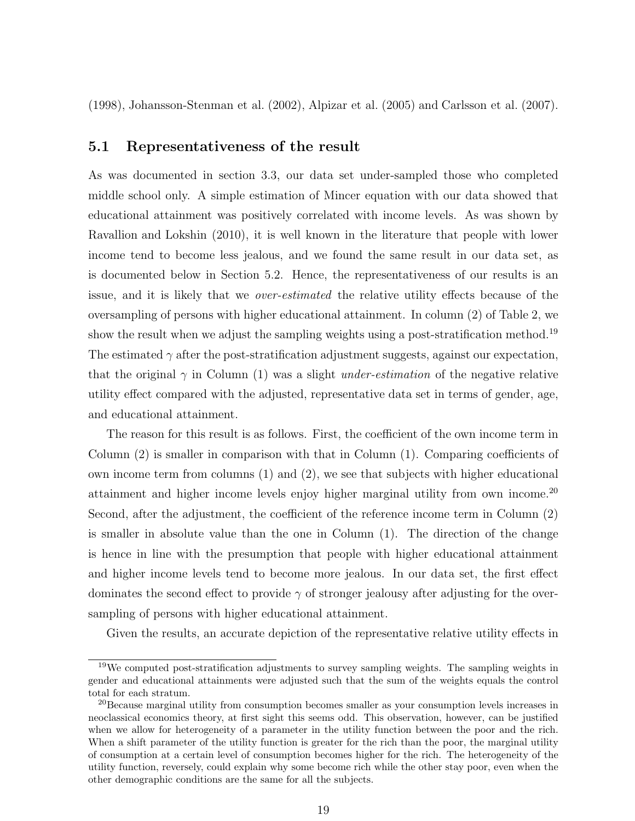(1998), Johansson-Stenman et al. (2002), Alpizar et al. (2005) and Carlsson et al. (2007).

#### **5.1 Representativeness of the result**

As was documented in section 3.3, our data set under-sampled those who completed middle school only. A simple estimation of Mincer equation with our data showed that educational attainment was positively correlated with income levels. As was shown by Ravallion and Lokshin (2010), it is well known in the literature that people with lower income tend to become less jealous, and we found the same result in our data set, as is documented below in Section 5.2. Hence, the representativeness of our results is an issue, and it is likely that we *over-estimated* the relative utility effects because of the oversampling of persons with higher educational attainment. In column (2) of Table 2, we show the result when we adjust the sampling weights using a post-stratification method.<sup>19</sup> The estimated  $\gamma$  after the post-stratification adjustment suggests, against our expectation, that the original  $\gamma$  in Column (1) was a slight *under-estimation* of the negative relative utility effect compared with the adjusted, representative data set in terms of gender, age, and educational attainment.

The reason for this result is as follows. First, the coefficient of the own income term in Column (2) is smaller in comparison with that in Column (1). Comparing coefficients of own income term from columns (1) and (2), we see that subjects with higher educational attainment and higher income levels enjoy higher marginal utility from own income.<sup>20</sup> Second, after the adjustment, the coefficient of the reference income term in Column (2) is smaller in absolute value than the one in Column (1). The direction of the change is hence in line with the presumption that people with higher educational attainment and higher income levels tend to become more jealous. In our data set, the first effect dominates the second effect to provide  $\gamma$  of stronger jealousy after adjusting for the oversampling of persons with higher educational attainment.

Given the results, an accurate depiction of the representative relative utility effects in

<sup>&</sup>lt;sup>19</sup>We computed post-stratification adjustments to survey sampling weights. The sampling weights in gender and educational attainments were adjusted such that the sum of the weights equals the control total for each stratum.

 $^{20}$ Because marginal utility from consumption becomes smaller as your consumption levels increases in neoclassical economics theory, at first sight this seems odd. This observation, however, can be justified when we allow for heterogeneity of a parameter in the utility function between the poor and the rich. When a shift parameter of the utility function is greater for the rich than the poor, the marginal utility of consumption at a certain level of consumption becomes higher for the rich. The heterogeneity of the utility function, reversely, could explain why some become rich while the other stay poor, even when the other demographic conditions are the same for all the subjects.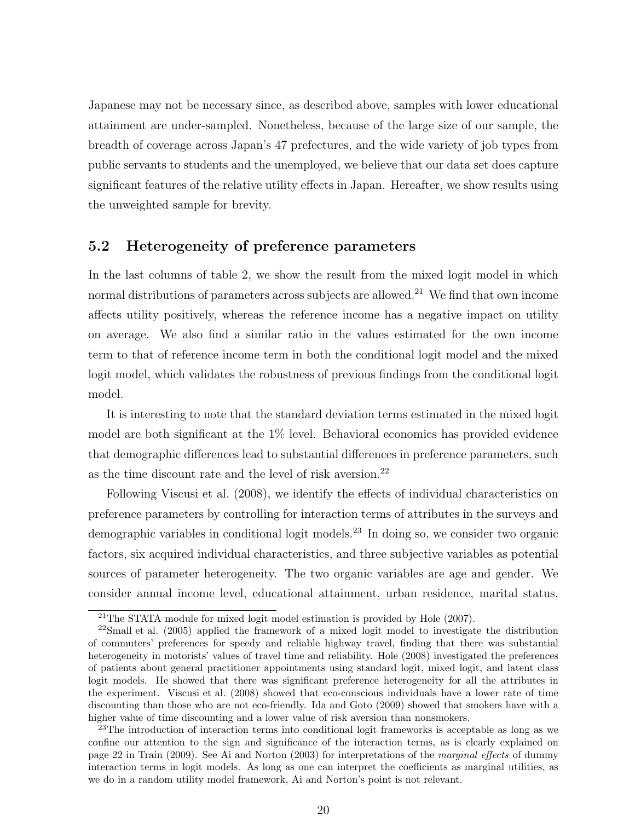Japanese may not be necessary since, as described above, samples with lower educational attainment are under-sampled. Nonetheless, because of the large size of our sample, the breadth of coverage across Japan's 47 prefectures, and the wide variety of job types from public servants to students and the unemployed, we believe that our data set does capture significant features of the relative utility effects in Japan. Hereafter, we show results using the unweighted sample for brevity.

#### **5.2 Heterogeneity of preference parameters**

In the last columns of table 2, we show the result from the mixed logit model in which normal distributions of parameters across subjects are allowed.<sup>21</sup> We find that own income affects utility positively, whereas the reference income has a negative impact on utility on average. We also find a similar ratio in the values estimated for the own income term to that of reference income term in both the conditional logit model and the mixed logit model, which validates the robustness of previous findings from the conditional logit model.

It is interesting to note that the standard deviation terms estimated in the mixed logit model are both significant at the 1% level. Behavioral economics has provided evidence that demographic differences lead to substantial differences in preference parameters, such as the time discount rate and the level of risk aversion.<sup>22</sup>

Following Viscusi et al. (2008), we identify the effects of individual characteristics on preference parameters by controlling for interaction terms of attributes in the surveys and demographic variables in conditional logit models.<sup>23</sup> In doing so, we consider two organic factors, six acquired individual characteristics, and three subjective variables as potential sources of parameter heterogeneity. The two organic variables are age and gender. We consider annual income level, educational attainment, urban residence, marital status,

 $21$ The STATA module for mixed logit model estimation is provided by Hole (2007).

<sup>22</sup>Small et al. (2005) applied the framework of a mixed logit model to investigate the distribution of commuters' preferences for speedy and reliable highway travel, finding that there was substantial heterogeneity in motorists' values of travel time and reliability. Hole (2008) investigated the preferences of patients about general practitioner appointments using standard logit, mixed logit, and latent class logit models. He showed that there was significant preference heterogeneity for all the attributes in the experiment. Viscusi et al. (2008) showed that eco-conscious individuals have a lower rate of time discounting than those who are not eco-friendly. Ida and Goto (2009) showed that smokers have with a higher value of time discounting and a lower value of risk aversion than nonsmokers.

 $^{23}$ The introduction of interaction terms into conditional logit frameworks is acceptable as long as we confine our attention to the sign and significance of the interaction terms, as is clearly explained on page 22 in Train (2009). See Ai and Norton (2003) for interpretations of the *marginal effects* of dummy interaction terms in logit models. As long as one can interpret the coefficients as marginal utilities, as we do in a random utility model framework, Ai and Norton's point is not relevant.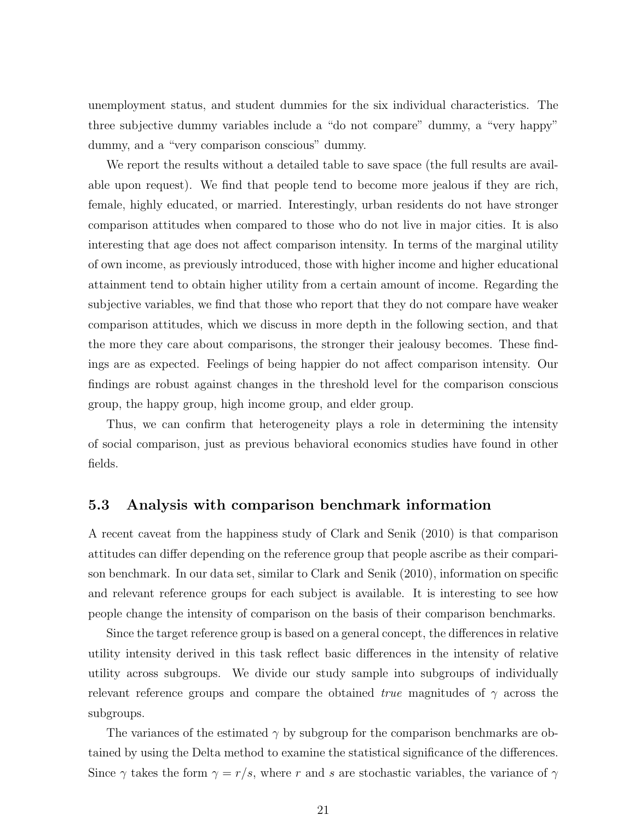unemployment status, and student dummies for the six individual characteristics. The three subjective dummy variables include a "do not compare" dummy, a "very happy" dummy, and a "very comparison conscious" dummy.

We report the results without a detailed table to save space (the full results are available upon request). We find that people tend to become more jealous if they are rich, female, highly educated, or married. Interestingly, urban residents do not have stronger comparison attitudes when compared to those who do not live in major cities. It is also interesting that age does not affect comparison intensity. In terms of the marginal utility of own income, as previously introduced, those with higher income and higher educational attainment tend to obtain higher utility from a certain amount of income. Regarding the subjective variables, we find that those who report that they do not compare have weaker comparison attitudes, which we discuss in more depth in the following section, and that the more they care about comparisons, the stronger their jealousy becomes. These findings are as expected. Feelings of being happier do not affect comparison intensity. Our findings are robust against changes in the threshold level for the comparison conscious group, the happy group, high income group, and elder group.

Thus, we can confirm that heterogeneity plays a role in determining the intensity of social comparison, just as previous behavioral economics studies have found in other fields.

#### **5.3 Analysis with comparison benchmark information**

A recent caveat from the happiness study of Clark and Senik (2010) is that comparison attitudes can differ depending on the reference group that people ascribe as their comparison benchmark. In our data set, similar to Clark and Senik (2010), information on specific and relevant reference groups for each subject is available. It is interesting to see how people change the intensity of comparison on the basis of their comparison benchmarks.

Since the target reference group is based on a general concept, the differences in relative utility intensity derived in this task reflect basic differences in the intensity of relative utility across subgroups. We divide our study sample into subgroups of individually relevant reference groups and compare the obtained *true* magnitudes of *γ* across the subgroups.

The variances of the estimated *γ* by subgroup for the comparison benchmarks are obtained by using the Delta method to examine the statistical significance of the differences. Since  $\gamma$  takes the form  $\gamma = r/s$ , where *r* and *s* are stochastic variables, the variance of  $\gamma$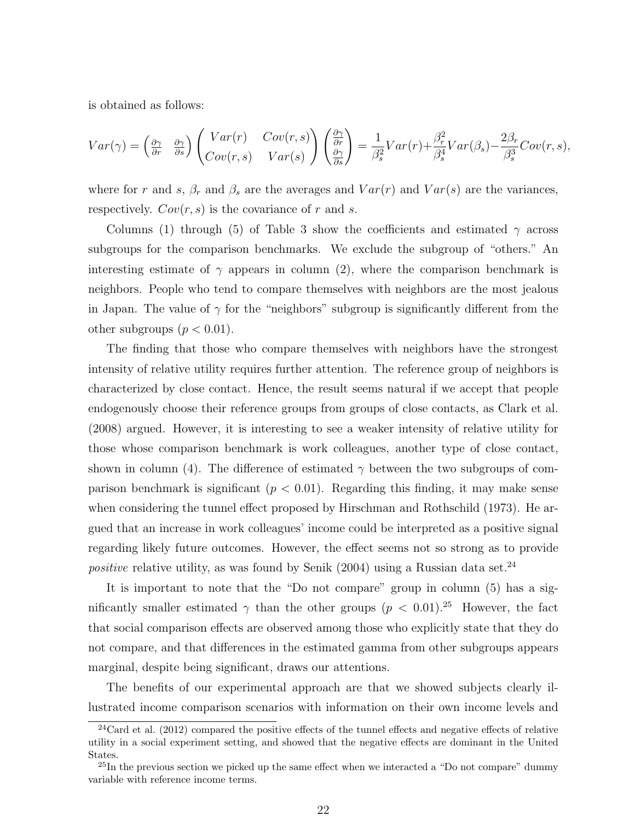is obtained as follows:

$$
Var(\gamma) = \begin{pmatrix} \frac{\partial \gamma}{\partial r} & \frac{\partial \gamma}{\partial s} \end{pmatrix} \begin{pmatrix} Var(r) & Cov(r,s) \\ Cov(r,s) & Var(s) \end{pmatrix} \begin{pmatrix} \frac{\partial \gamma}{\partial r} \\ \frac{\partial \gamma}{\partial s} \end{pmatrix} = \frac{1}{\beta_s^2} Var(r) + \frac{\beta_r^2}{\beta_s^4} Var(\beta_s) - \frac{2\beta_r}{\beta_s^3} Cov(r,s),
$$

where for *r* and *s*,  $\beta_r$  and  $\beta_s$  are the averages and  $Var(r)$  and  $Var(s)$  are the variances, respectively. *Cov*(*r, s*) is the covariance of *r* and *s*.

Columns (1) through (5) of Table 3 show the coefficients and estimated  $\gamma$  across subgroups for the comparison benchmarks. We exclude the subgroup of "others." An interesting estimate of  $\gamma$  appears in column (2), where the comparison benchmark is neighbors. People who tend to compare themselves with neighbors are the most jealous in Japan. The value of  $\gamma$  for the "neighbors" subgroup is significantly different from the other subgroups  $(p < 0.01)$ .

The finding that those who compare themselves with neighbors have the strongest intensity of relative utility requires further attention. The reference group of neighbors is characterized by close contact. Hence, the result seems natural if we accept that people endogenously choose their reference groups from groups of close contacts, as Clark et al. (2008) argued. However, it is interesting to see a weaker intensity of relative utility for those whose comparison benchmark is work colleagues, another type of close contact, shown in column (4). The difference of estimated  $\gamma$  between the two subgroups of comparison benchmark is significant (*p <* 0*.*01). Regarding this finding, it may make sense when considering the tunnel effect proposed by Hirschman and Rothschild (1973). He argued that an increase in work colleagues' income could be interpreted as a positive signal regarding likely future outcomes. However, the effect seems not so strong as to provide  $positive$  relative utility, as was found by Senik (2004) using a Russian data set.<sup>24</sup>

It is important to note that the "Do not compare" group in column (5) has a significantly smaller estimated  $\gamma$  than the other groups ( $p < 0.01$ ).<sup>25</sup> However, the fact that social comparison effects are observed among those who explicitly state that they do not compare, and that differences in the estimated gamma from other subgroups appears marginal, despite being significant, draws our attentions.

The benefits of our experimental approach are that we showed subjects clearly illustrated income comparison scenarios with information on their own income levels and

 $24$ Card et al. (2012) compared the positive effects of the tunnel effects and negative effects of relative utility in a social experiment setting, and showed that the negative effects are dominant in the United States.

 $^{25}$ In the previous section we picked up the same effect when we interacted a "Do not compare" dummy variable with reference income terms.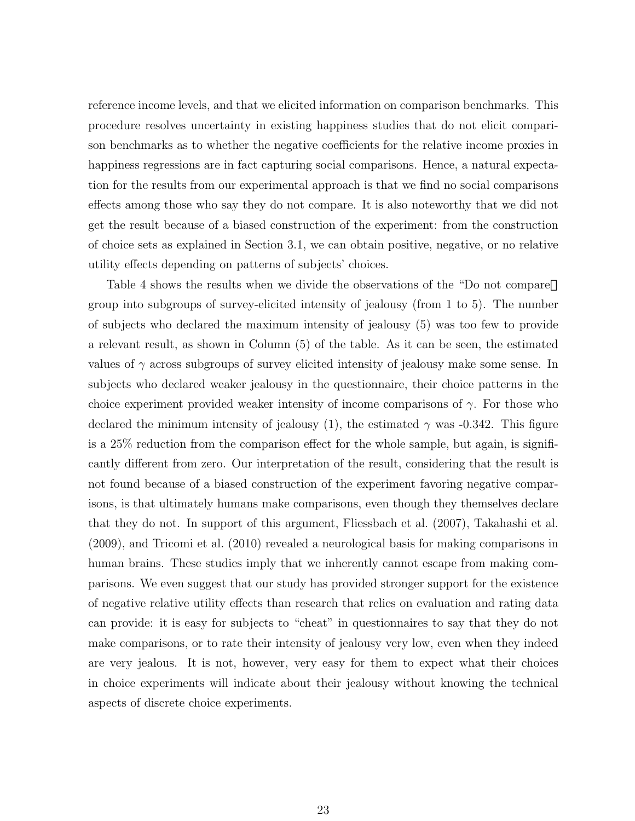reference income levels, and that we elicited information on comparison benchmarks. This procedure resolves uncertainty in existing happiness studies that do not elicit comparison benchmarks as to whether the negative coefficients for the relative income proxies in happiness regressions are in fact capturing social comparisons. Hence, a natural expectation for the results from our experimental approach is that we find no social comparisons effects among those who say they do not compare. It is also noteworthy that we did not get the result because of a biased construction of the experiment: from the construction of choice sets as explained in Section 3.1, we can obtain positive, negative, or no relative utility effects depending on patterns of subjects' choices.

Table 4 shows the results when we divide the observations of the "Do not compare group into subgroups of survey-elicited intensity of jealousy (from 1 to 5). The number of subjects who declared the maximum intensity of jealousy (5) was too few to provide a relevant result, as shown in Column (5) of the table. As it can be seen, the estimated values of  $\gamma$  across subgroups of survey elicited intensity of jealousy make some sense. In subjects who declared weaker jealousy in the questionnaire, their choice patterns in the choice experiment provided weaker intensity of income comparisons of *γ*. For those who declared the minimum intensity of jealousy (1), the estimated  $\gamma$  was -0.342. This figure is a 25% reduction from the comparison effect for the whole sample, but again, is significantly different from zero. Our interpretation of the result, considering that the result is not found because of a biased construction of the experiment favoring negative comparisons, is that ultimately humans make comparisons, even though they themselves declare that they do not. In support of this argument, Fliessbach et al. (2007), Takahashi et al. (2009), and Tricomi et al. (2010) revealed a neurological basis for making comparisons in human brains. These studies imply that we inherently cannot escape from making comparisons. We even suggest that our study has provided stronger support for the existence of negative relative utility effects than research that relies on evaluation and rating data can provide: it is easy for subjects to "cheat" in questionnaires to say that they do not make comparisons, or to rate their intensity of jealousy very low, even when they indeed are very jealous. It is not, however, very easy for them to expect what their choices in choice experiments will indicate about their jealousy without knowing the technical aspects of discrete choice experiments.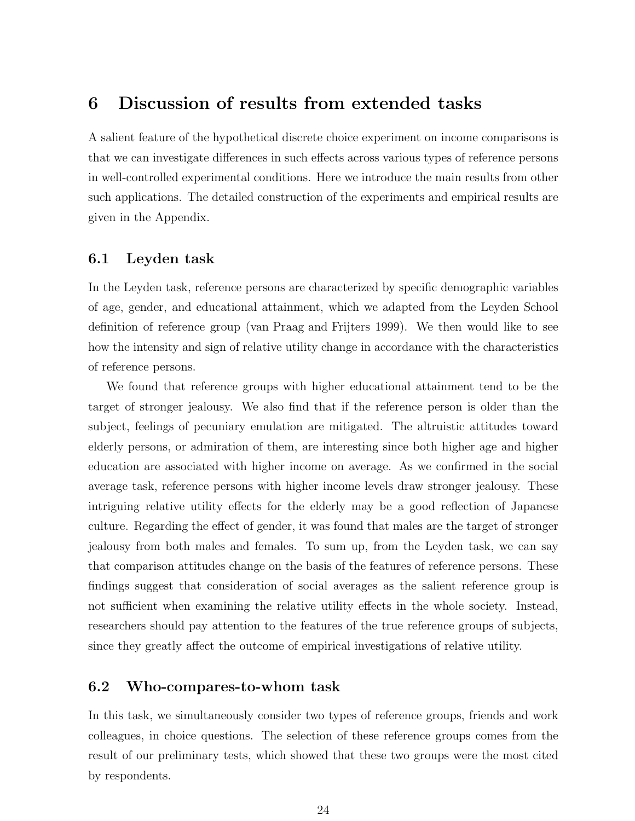## **6 Discussion of results from extended tasks**

A salient feature of the hypothetical discrete choice experiment on income comparisons is that we can investigate differences in such effects across various types of reference persons in well-controlled experimental conditions. Here we introduce the main results from other such applications. The detailed construction of the experiments and empirical results are given in the Appendix.

#### **6.1 Leyden task**

In the Leyden task, reference persons are characterized by specific demographic variables of age, gender, and educational attainment, which we adapted from the Leyden School definition of reference group (van Praag and Frijters 1999). We then would like to see how the intensity and sign of relative utility change in accordance with the characteristics of reference persons.

We found that reference groups with higher educational attainment tend to be the target of stronger jealousy. We also find that if the reference person is older than the subject, feelings of pecuniary emulation are mitigated. The altruistic attitudes toward elderly persons, or admiration of them, are interesting since both higher age and higher education are associated with higher income on average. As we confirmed in the social average task, reference persons with higher income levels draw stronger jealousy. These intriguing relative utility effects for the elderly may be a good reflection of Japanese culture. Regarding the effect of gender, it was found that males are the target of stronger jealousy from both males and females. To sum up, from the Leyden task, we can say that comparison attitudes change on the basis of the features of reference persons. These findings suggest that consideration of social averages as the salient reference group is not sufficient when examining the relative utility effects in the whole society. Instead, researchers should pay attention to the features of the true reference groups of subjects, since they greatly affect the outcome of empirical investigations of relative utility.

#### **6.2 Who-compares-to-whom task**

In this task, we simultaneously consider two types of reference groups, friends and work colleagues, in choice questions. The selection of these reference groups comes from the result of our preliminary tests, which showed that these two groups were the most cited by respondents.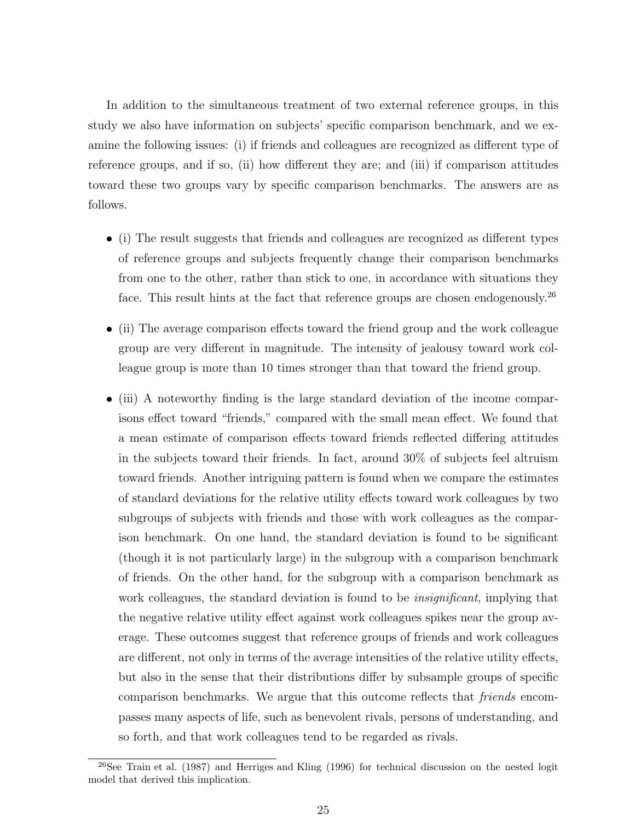In addition to the simultaneous treatment of two external reference groups, in this study we also have information on subjects' specific comparison benchmark, and we examine the following issues: (i) if friends and colleagues are recognized as different type of reference groups, and if so, (ii) how different they are; and (iii) if comparison attitudes toward these two groups vary by specific comparison benchmarks. The answers are as follows.

- (i) The result suggests that friends and colleagues are recognized as different types of reference groups and subjects frequently change their comparison benchmarks from one to the other, rather than stick to one, in accordance with situations they face. This result hints at the fact that reference groups are chosen endogenously.<sup>26</sup>
- (ii) The average comparison effects toward the friend group and the work colleague group are very different in magnitude. The intensity of jealousy toward work colleague group is more than 10 times stronger than that toward the friend group.
- (iii) A noteworthy finding is the large standard deviation of the income comparisons effect toward "friends," compared with the small mean effect. We found that a mean estimate of comparison effects toward friends reflected differing attitudes in the subjects toward their friends. In fact, around 30% of subjects feel altruism toward friends. Another intriguing pattern is found when we compare the estimates of standard deviations for the relative utility effects toward work colleagues by two subgroups of subjects with friends and those with work colleagues as the comparison benchmark. On one hand, the standard deviation is found to be significant (though it is not particularly large) in the subgroup with a comparison benchmark of friends. On the other hand, for the subgroup with a comparison benchmark as work colleagues, the standard deviation is found to be *insignificant*, implying that the negative relative utility effect against work colleagues spikes near the group average. These outcomes suggest that reference groups of friends and work colleagues are different, not only in terms of the average intensities of the relative utility effects, but also in the sense that their distributions differ by subsample groups of specific comparison benchmarks. We argue that this outcome reflects that *friends* encompasses many aspects of life, such as benevolent rivals, persons of understanding, and so forth, and that work colleagues tend to be regarded as rivals.

 $26$ See Train et al. (1987) and Herriges and Kling (1996) for technical discussion on the nested logit model that derived this implication.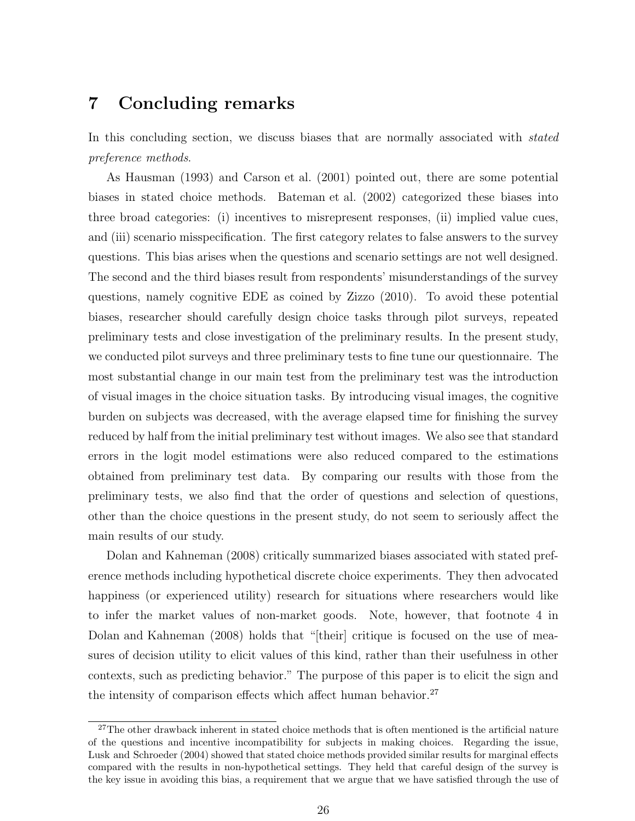# **7 Concluding remarks**

In this concluding section, we discuss biases that are normally associated with *stated preference methods*.

As Hausman (1993) and Carson et al. (2001) pointed out, there are some potential biases in stated choice methods. Bateman et al. (2002) categorized these biases into three broad categories: (i) incentives to misrepresent responses, (ii) implied value cues, and (iii) scenario misspecification. The first category relates to false answers to the survey questions. This bias arises when the questions and scenario settings are not well designed. The second and the third biases result from respondents' misunderstandings of the survey questions, namely cognitive EDE as coined by Zizzo (2010). To avoid these potential biases, researcher should carefully design choice tasks through pilot surveys, repeated preliminary tests and close investigation of the preliminary results. In the present study, we conducted pilot surveys and three preliminary tests to fine tune our questionnaire. The most substantial change in our main test from the preliminary test was the introduction of visual images in the choice situation tasks. By introducing visual images, the cognitive burden on subjects was decreased, with the average elapsed time for finishing the survey reduced by half from the initial preliminary test without images. We also see that standard errors in the logit model estimations were also reduced compared to the estimations obtained from preliminary test data. By comparing our results with those from the preliminary tests, we also find that the order of questions and selection of questions, other than the choice questions in the present study, do not seem to seriously affect the main results of our study.

Dolan and Kahneman (2008) critically summarized biases associated with stated preference methods including hypothetical discrete choice experiments. They then advocated happiness (or experienced utility) research for situations where researchers would like to infer the market values of non-market goods. Note, however, that footnote 4 in Dolan and Kahneman (2008) holds that "[their] critique is focused on the use of measures of decision utility to elicit values of this kind, rather than their usefulness in other contexts, such as predicting behavior." The purpose of this paper is to elicit the sign and the intensity of comparison effects which affect human behavior.<sup>27</sup>

 $27$ The other drawback inherent in stated choice methods that is often mentioned is the artificial nature of the questions and incentive incompatibility for subjects in making choices. Regarding the issue, Lusk and Schroeder (2004) showed that stated choice methods provided similar results for marginal effects compared with the results in non-hypothetical settings. They held that careful design of the survey is the key issue in avoiding this bias, a requirement that we argue that we have satisfied through the use of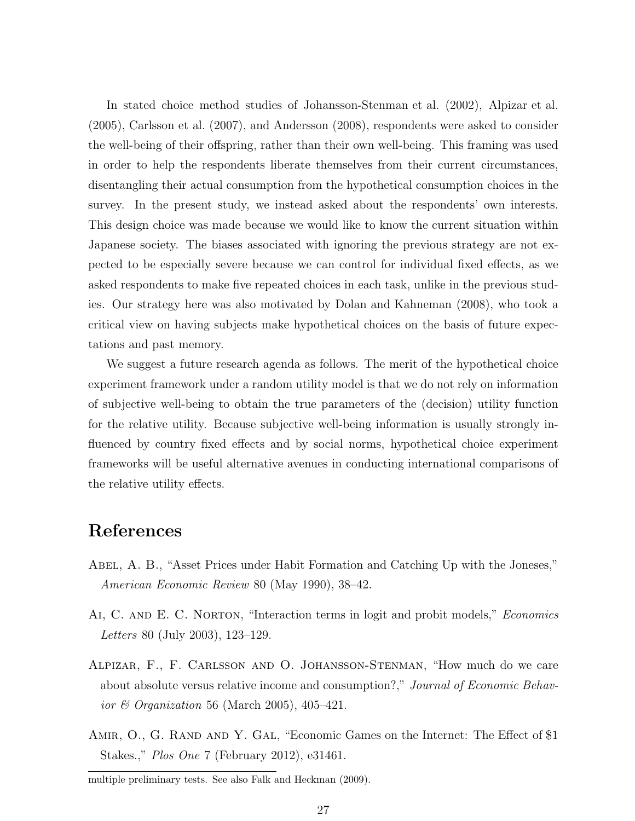In stated choice method studies of Johansson-Stenman et al. (2002), Alpizar et al. (2005), Carlsson et al. (2007), and Andersson (2008), respondents were asked to consider the well-being of their offspring, rather than their own well-being. This framing was used in order to help the respondents liberate themselves from their current circumstances, disentangling their actual consumption from the hypothetical consumption choices in the survey. In the present study, we instead asked about the respondents' own interests. This design choice was made because we would like to know the current situation within Japanese society. The biases associated with ignoring the previous strategy are not expected to be especially severe because we can control for individual fixed effects, as we asked respondents to make five repeated choices in each task, unlike in the previous studies. Our strategy here was also motivated by Dolan and Kahneman (2008), who took a critical view on having subjects make hypothetical choices on the basis of future expectations and past memory.

We suggest a future research agenda as follows. The merit of the hypothetical choice experiment framework under a random utility model is that we do not rely on information of subjective well-being to obtain the true parameters of the (decision) utility function for the relative utility. Because subjective well-being information is usually strongly influenced by country fixed effects and by social norms, hypothetical choice experiment frameworks will be useful alternative avenues in conducting international comparisons of the relative utility effects.

## **References**

- ABEL, A. B., "Asset Prices under Habit Formation and Catching Up with the Joneses," *American Economic Review* 80 (May 1990), 38–42.
- Ai, C. and E. C. Norton, "Interaction terms in logit and probit models," *Economics Letters* 80 (July 2003), 123–129.
- Alpizar, F., F. Carlsson and O. Johansson-Stenman, "How much do we care about absolute versus relative income and consumption?," *Journal of Economic Behavior & Organization* 56 (March 2005), 405–421.
- AMIR, O., G. RAND AND Y. GAL, "Economic Games on the Internet: The Effect of \$1 Stakes.," *Plos One* 7 (February 2012), e31461.

multiple preliminary tests. See also Falk and Heckman (2009).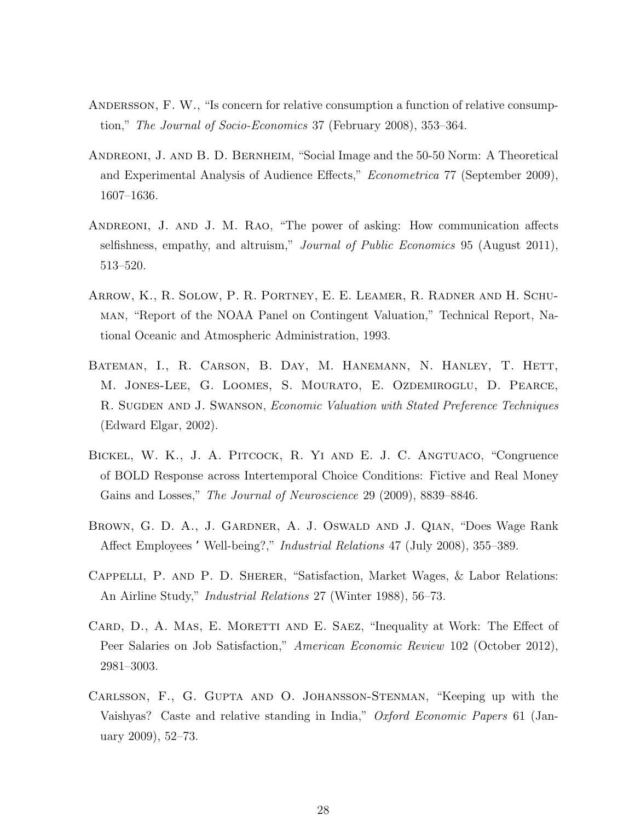- ANDERSSON, F. W., "Is concern for relative consumption a function of relative consumption," *The Journal of Socio-Economics* 37 (February 2008), 353–364.
- Andreoni, J. and B. D. Bernheim, "Social Image and the 50-50 Norm: A Theoretical and Experimental Analysis of Audience Effects," *Econometrica* 77 (September 2009), 1607–1636.
- Andreoni, J. and J. M. Rao, "The power of asking: How communication affects selfishness, empathy, and altruism," *Journal of Public Economics* 95 (August 2011), 513–520.
- Arrow, K., R. Solow, P. R. Portney, E. E. Leamer, R. Radner and H. Schuman, "Report of the NOAA Panel on Contingent Valuation," Technical Report, National Oceanic and Atmospheric Administration, 1993.
- Bateman, I., R. Carson, B. Day, M. Hanemann, N. Hanley, T. Hett, M. Jones-Lee, G. Loomes, S. Mourato, E. Ozdemiroglu, D. Pearce, R. Sugden and J. Swanson, *Economic Valuation with Stated Preference Techniques* (Edward Elgar, 2002).
- Bickel, W. K., J. A. Pitcock, R. Yi and E. J. C. Angtuaco, "Congruence of BOLD Response across Intertemporal Choice Conditions: Fictive and Real Money Gains and Losses," *The Journal of Neuroscience* 29 (2009), 8839–8846.
- Brown, G. D. A., J. Gardner, A. J. Oswald and J. Qian, "Does Wage Rank Affect Employees 'Well-being?," *Industrial Relations* 47 (July 2008), 355–389.
- Cappelli, P. and P. D. Sherer, "Satisfaction, Market Wages, & Labor Relations: An Airline Study," *Industrial Relations* 27 (Winter 1988), 56–73.
- CARD, D., A. MAS, E. MORETTI AND E. SAEZ, "Inequality at Work: The Effect of Peer Salaries on Job Satisfaction," *American Economic Review* 102 (October 2012), 2981–3003.
- Carlsson, F., G. Gupta and O. Johansson-Stenman, "Keeping up with the Vaishyas? Caste and relative standing in India," *Oxford Economic Papers* 61 (January 2009), 52–73.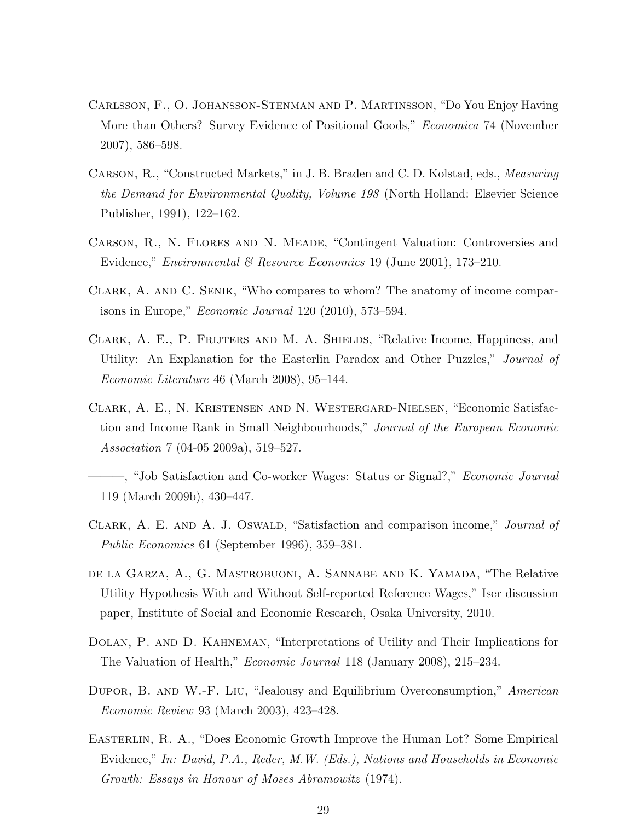- Carlsson, F., O. Johansson-Stenman and P. Martinsson, "Do You Enjoy Having More than Others? Survey Evidence of Positional Goods," *Economica* 74 (November 2007), 586–598.
- Carson, R., "Constructed Markets," in J. B. Braden and C. D. Kolstad, eds., *Measuring the Demand for Environmental Quality, Volume 198* (North Holland: Elsevier Science Publisher, 1991), 122–162.
- Carson, R., N. Flores and N. Meade, "Contingent Valuation: Controversies and Evidence," *Environmental & Resource Economics* 19 (June 2001), 173–210.
- Clark, A. and C. Senik, "Who compares to whom? The anatomy of income comparisons in Europe," *Economic Journal* 120 (2010), 573–594.
- Clark, A. E., P. Frijters and M. A. Shields, "Relative Income, Happiness, and Utility: An Explanation for the Easterlin Paradox and Other Puzzles," *Journal of Economic Literature* 46 (March 2008), 95–144.
- Clark, A. E., N. Kristensen and N. Westergard-Nielsen, "Economic Satisfaction and Income Rank in Small Neighbourhoods," *Journal of the European Economic Association* 7 (04-05 2009a), 519–527.
- ———, "Job Satisfaction and Co-worker Wages: Status or Signal?," *Economic Journal* 119 (March 2009b), 430–447.
- Clark, A. E. and A. J. Oswald, "Satisfaction and comparison income," *Journal of Public Economics* 61 (September 1996), 359–381.
- de la Garza, A., G. Mastrobuoni, A. Sannabe and K. Yamada, "The Relative Utility Hypothesis With and Without Self-reported Reference Wages," Iser discussion paper, Institute of Social and Economic Research, Osaka University, 2010.
- Dolan, P. and D. Kahneman, "Interpretations of Utility and Their Implications for The Valuation of Health," *Economic Journal* 118 (January 2008), 215–234.
- Dupor, B. and W.-F. Liu, "Jealousy and Equilibrium Overconsumption," *American Economic Review* 93 (March 2003), 423–428.
- Easterlin, R. A., "Does Economic Growth Improve the Human Lot? Some Empirical Evidence," *In: David, P.A., Reder, M.W. (Eds.), Nations and Households in Economic Growth: Essays in Honour of Moses Abramowitz* (1974).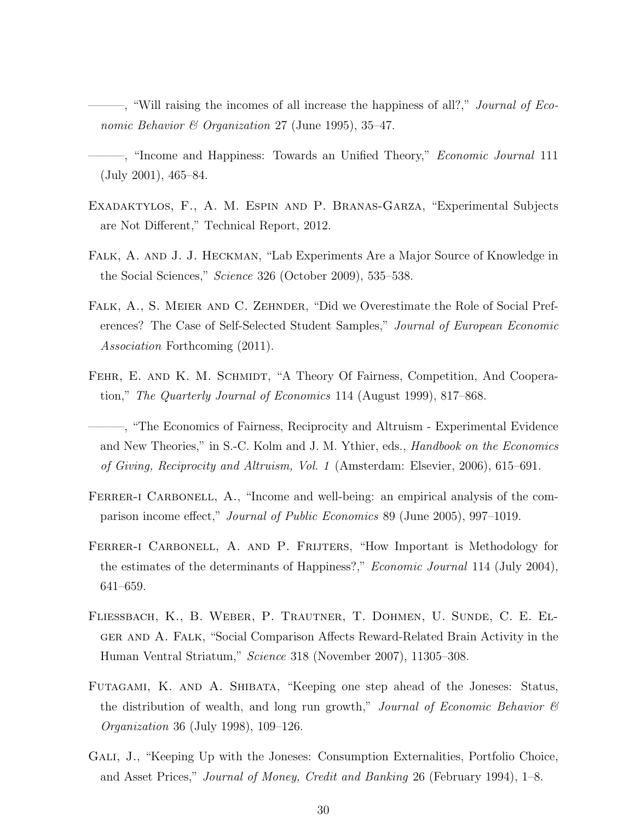———, "Will raising the incomes of all increase the happiness of all?," *Journal of Economic Behavior & Organization* 27 (June 1995), 35–47.

- ———, "Income and Happiness: Towards an Unified Theory," *Economic Journal* 111 (July 2001), 465–84.
- Exadaktylos, F., A. M. Espin and P. Branas-Garza, "Experimental Subjects are Not Different," Technical Report, 2012.
- FALK, A. AND J. J. HECKMAN, "Lab Experiments Are a Major Source of Knowledge in the Social Sciences," *Science* 326 (October 2009), 535–538.
- FALK, A., S. MEIER AND C. ZEHNDER, "Did we Overestimate the Role of Social Preferences? The Case of Self-Selected Student Samples," *Journal of European Economic Association* Forthcoming (2011).
- FEHR, E. AND K. M. SCHMIDT, "A Theory Of Fairness, Competition, And Cooperation," *The Quarterly Journal of Economics* 114 (August 1999), 817–868.

———, "The Economics of Fairness, Reciprocity and Altruism - Experimental Evidence and New Theories," in S.-C. Kolm and J. M. Ythier, eds., *Handbook on the Economics of Giving, Reciprocity and Altruism, Vol. 1* (Amsterdam: Elsevier, 2006), 615–691.

- FERRER-I CARBONELL, A., "Income and well-being: an empirical analysis of the comparison income effect," *Journal of Public Economics* 89 (June 2005), 997–1019.
- FERRER-I CARBONELL, A. AND P. FRIJTERS, "How Important is Methodology for the estimates of the determinants of Happiness?," *Economic Journal* 114 (July 2004), 641–659.
- Fliessbach, K., B. Weber, P. Trautner, T. Dohmen, U. Sunde, C. E. Elger and A. Falk, "Social Comparison Affects Reward-Related Brain Activity in the Human Ventral Striatum," *Science* 318 (November 2007), 11305–308.
- Futagami, K. and A. Shibata, "Keeping one step ahead of the Joneses: Status, the distribution of wealth, and long run growth," *Journal of Economic Behavior & Organization* 36 (July 1998), 109–126.
- Gali, J., "Keeping Up with the Joneses: Consumption Externalities, Portfolio Choice, and Asset Prices," *Journal of Money, Credit and Banking* 26 (February 1994), 1–8.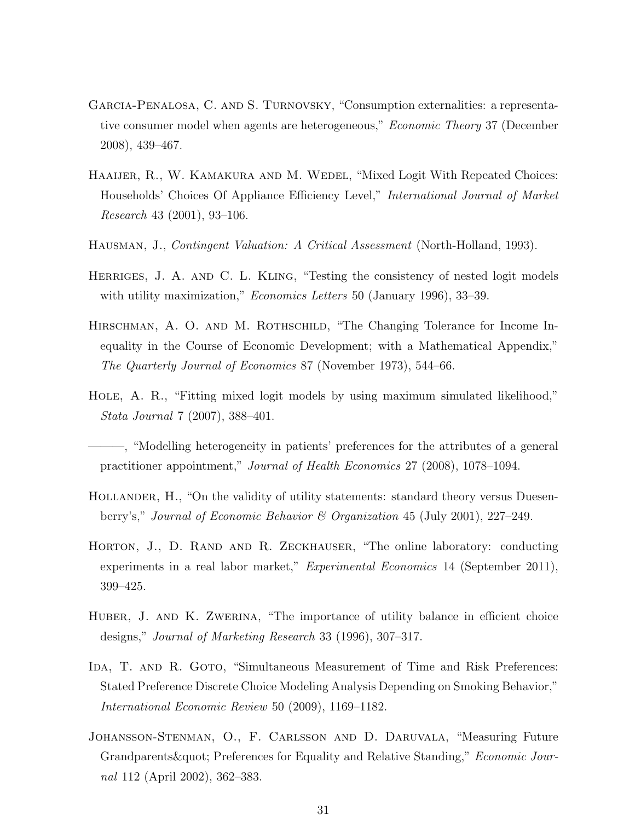- Garcia-Penalosa, C. and S. Turnovsky, "Consumption externalities: a representative consumer model when agents are heterogeneous," *Economic Theory* 37 (December 2008), 439–467.
- HAAIJER, R., W. KAMAKURA AND M. WEDEL, "Mixed Logit With Repeated Choices: Households' Choices Of Appliance Efficiency Level," *International Journal of Market Research* 43 (2001), 93–106.
- Hausman, J., *Contingent Valuation: A Critical Assessment* (North-Holland, 1993).
- HERRIGES, J. A. AND C. L. KLING, "Testing the consistency of nested logit models with utility maximization," *Economics Letters* 50 (January 1996), 33–39.
- HIRSCHMAN, A. O. AND M. ROTHSCHILD, "The Changing Tolerance for Income Inequality in the Course of Economic Development; with a Mathematical Appendix," *The Quarterly Journal of Economics* 87 (November 1973), 544–66.
- Hole, A. R., "Fitting mixed logit models by using maximum simulated likelihood," *Stata Journal* 7 (2007), 388–401.

———, "Modelling heterogeneity in patients' preferences for the attributes of a general practitioner appointment," *Journal of Health Economics* 27 (2008), 1078–1094.

- HOLLANDER, H., "On the validity of utility statements: standard theory versus Duesenberry's," *Journal of Economic Behavior & Organization* 45 (July 2001), 227–249.
- HORTON, J., D. RAND AND R. ZECKHAUSER, "The online laboratory: conducting experiments in a real labor market," *Experimental Economics* 14 (September 2011), 399–425.
- HUBER, J. AND K. ZWERINA, "The importance of utility balance in efficient choice designs," *Journal of Marketing Research* 33 (1996), 307–317.
- IDA, T. AND R. GOTO, "Simultaneous Measurement of Time and Risk Preferences: Stated Preference Discrete Choice Modeling Analysis Depending on Smoking Behavior," *International Economic Review* 50 (2009), 1169–1182.
- Johansson-Stenman, O., F. Carlsson and D. Daruvala, "Measuring Future Grandparents & quot; Preferences for Equality and Relative Standing," *Economic Journal* 112 (April 2002), 362–383.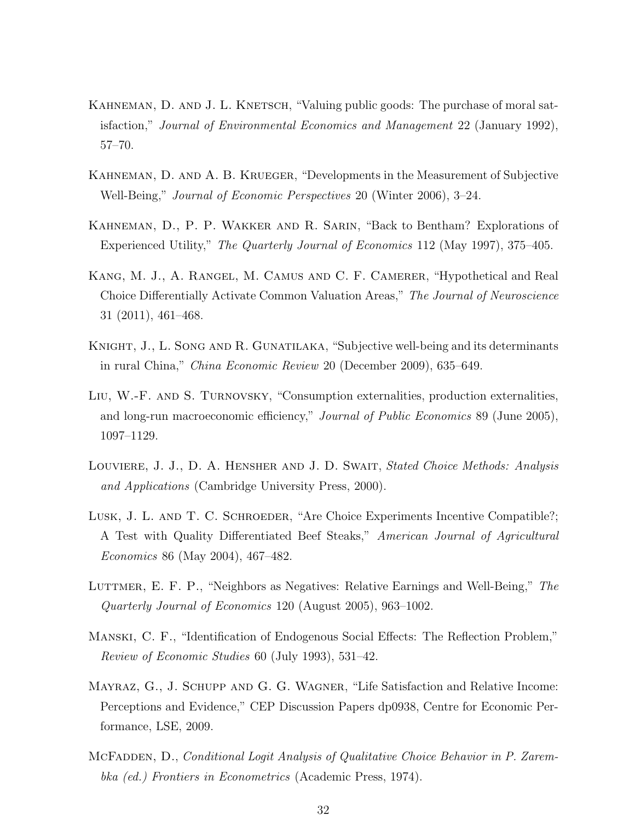- KAHNEMAN, D. AND J. L. KNETSCH, "Valuing public goods: The purchase of moral satisfaction," *Journal of Environmental Economics and Management* 22 (January 1992), 57–70.
- Kahneman, D. and A. B. Krueger, "Developments in the Measurement of Subjective Well-Being," *Journal of Economic Perspectives* 20 (Winter 2006), 3–24.
- Kahneman, D., P. P. Wakker and R. Sarin, "Back to Bentham? Explorations of Experienced Utility," *The Quarterly Journal of Economics* 112 (May 1997), 375–405.
- Kang, M. J., A. Rangel, M. Camus and C. F. Camerer, "Hypothetical and Real Choice Differentially Activate Common Valuation Areas," *The Journal of Neuroscience* 31 (2011), 461–468.
- KNIGHT, J., L. SONG AND R. GUNATILAKA, "Subjective well-being and its determinants in rural China," *China Economic Review* 20 (December 2009), 635–649.
- LIU, W.-F. AND S. TURNOVSKY, "Consumption externalities, production externalities, and long-run macroeconomic efficiency," *Journal of Public Economics* 89 (June 2005), 1097–1129.
- Louviere, J. J., D. A. Hensher and J. D. Swait, *Stated Choice Methods: Analysis and Applications* (Cambridge University Press, 2000).
- LUSK, J. L. AND T. C. SCHROEDER, "Are Choice Experiments Incentive Compatible?; A Test with Quality Differentiated Beef Steaks," *American Journal of Agricultural Economics* 86 (May 2004), 467–482.
- Luttmer, E. F. P., "Neighbors as Negatives: Relative Earnings and Well-Being," *The Quarterly Journal of Economics* 120 (August 2005), 963–1002.
- Manski, C. F., "Identification of Endogenous Social Effects: The Reflection Problem," *Review of Economic Studies* 60 (July 1993), 531–42.
- Mayraz, G., J. Schupp and G. G. Wagner, "Life Satisfaction and Relative Income: Perceptions and Evidence," CEP Discussion Papers dp0938, Centre for Economic Performance, LSE, 2009.
- McFadden, D., *Conditional Logit Analysis of Qualitative Choice Behavior in P. Zarembka (ed.) Frontiers in Econometrics* (Academic Press, 1974).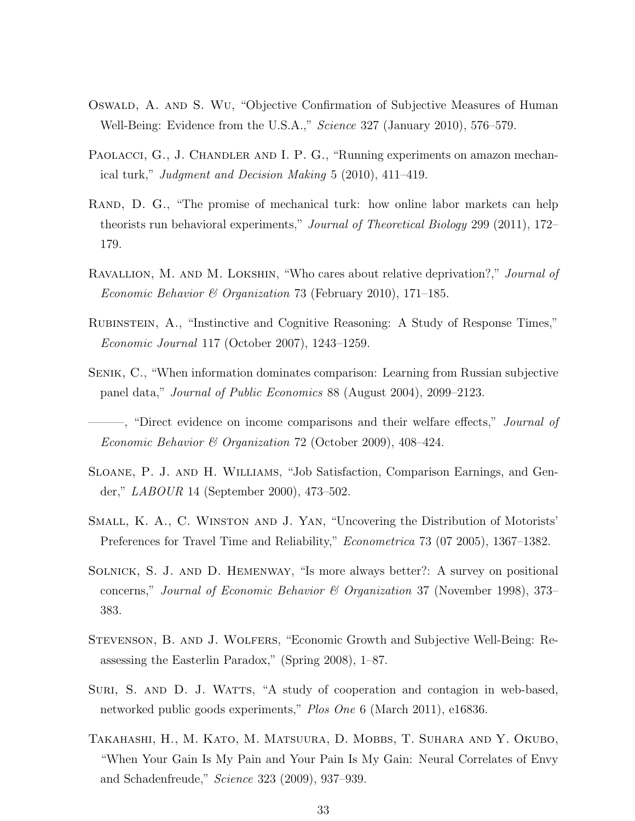- Oswald, A. and S. Wu, "Objective Confirmation of Subjective Measures of Human Well-Being: Evidence from the U.S.A.," *Science* 327 (January 2010), 576–579.
- PAOLACCI, G., J. CHANDLER AND I. P. G., "Running experiments on amazon mechanical turk," *Judgment and Decision Making* 5 (2010), 411–419.
- RAND, D. G., "The promise of mechanical turk: how online labor markets can help theorists run behavioral experiments," *Journal of Theoretical Biology* 299 (2011), 172– 179.
- Ravallion, M. and M. Lokshin, "Who cares about relative deprivation?," *Journal of Economic Behavior & Organization* 73 (February 2010), 171–185.
- Rubinstein, A., "Instinctive and Cognitive Reasoning: A Study of Response Times," *Economic Journal* 117 (October 2007), 1243–1259.
- Senik, C., "When information dominates comparison: Learning from Russian subjective panel data," *Journal of Public Economics* 88 (August 2004), 2099–2123.

———, "Direct evidence on income comparisons and their welfare effects," *Journal of Economic Behavior & Organization* 72 (October 2009), 408–424.

- Sloane, P. J. and H. Williams, "Job Satisfaction, Comparison Earnings, and Gender," *LABOUR* 14 (September 2000), 473–502.
- Small, K. A., C. Winston and J. Yan, "Uncovering the Distribution of Motorists' Preferences for Travel Time and Reliability," *Econometrica* 73 (07 2005), 1367–1382.
- Solnick, S. J. and D. Hemenway, "Is more always better?: A survey on positional concerns," *Journal of Economic Behavior & Organization* 37 (November 1998), 373– 383.
- Stevenson, B. and J. Wolfers, "Economic Growth and Subjective Well-Being: Reassessing the Easterlin Paradox," (Spring 2008), 1–87.
- SURI, S. AND D. J. WATTS, "A study of cooperation and contagion in web-based, networked public goods experiments," *Plos One* 6 (March 2011), e16836.
- Takahashi, H., M. Kato, M. Matsuura, D. Mobbs, T. Suhara and Y. Okubo, "When Your Gain Is My Pain and Your Pain Is My Gain: Neural Correlates of Envy and Schadenfreude," *Science* 323 (2009), 937–939.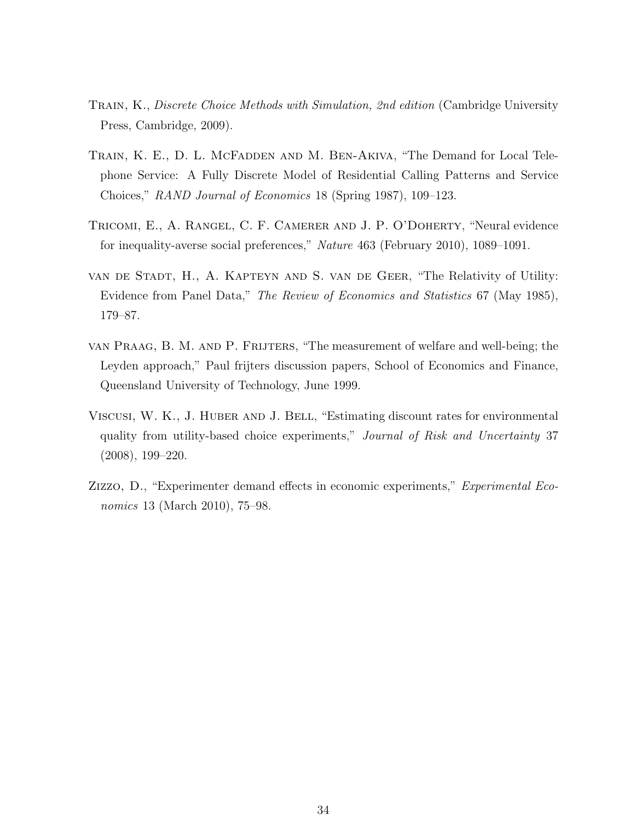- Train, K., *Discrete Choice Methods with Simulation, 2nd edition* (Cambridge University Press, Cambridge, 2009).
- TRAIN, K. E., D. L. MCFADDEN AND M. BEN-AKIVA, "The Demand for Local Telephone Service: A Fully Discrete Model of Residential Calling Patterns and Service Choices," *RAND Journal of Economics* 18 (Spring 1987), 109–123.
- Tricomi, E., A. Rangel, C. F. Camerer and J. P. O'Doherty, "Neural evidence for inequality-averse social preferences," *Nature* 463 (February 2010), 1089–1091.
- van de Stadt, H., A. Kapteyn and S. van de Geer, "The Relativity of Utility: Evidence from Panel Data," *The Review of Economics and Statistics* 67 (May 1985), 179–87.
- van Praag, B. M. and P. Frijters, "The measurement of welfare and well-being; the Leyden approach," Paul frijters discussion papers, School of Economics and Finance, Queensland University of Technology, June 1999.
- Viscusi, W. K., J. Huber and J. Bell, "Estimating discount rates for environmental quality from utility-based choice experiments," *Journal of Risk and Uncertainty* 37 (2008), 199–220.
- Zizzo, D., "Experimenter demand effects in economic experiments," *Experimental Economics* 13 (March 2010), 75–98.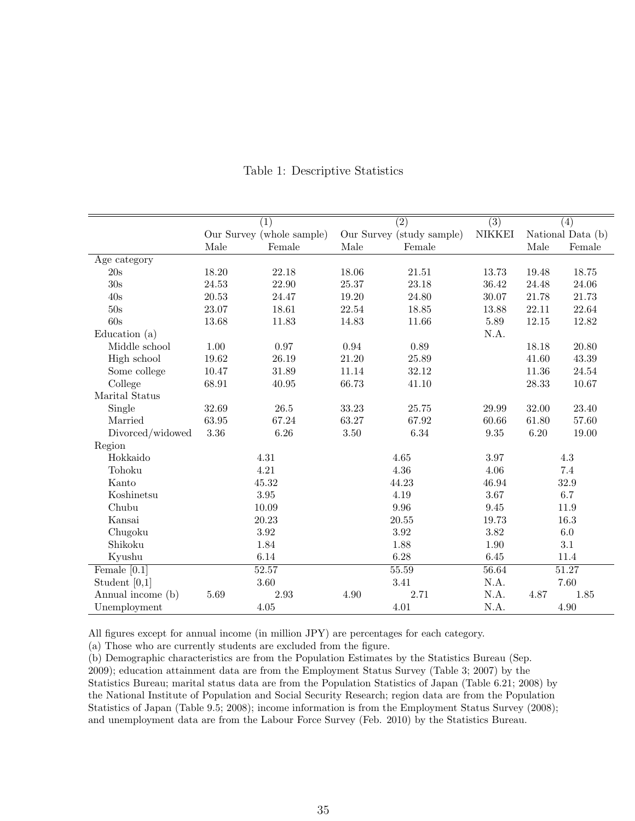|                   |       | $\overline{(1)}$          |          | $\overline{(2)}$          | $\overline{(3)}$    |          | $\overline{(4)}$  |
|-------------------|-------|---------------------------|----------|---------------------------|---------------------|----------|-------------------|
|                   |       | Our Survey (whole sample) |          | Our Survey (study sample) | <b>NIKKEI</b>       |          | National Data (b) |
|                   | Male  | Female                    | Male     | Female                    |                     | Male     | Female            |
| Age category      |       |                           |          |                           |                     |          |                   |
| 20s               | 18.20 | 22.18                     | 18.06    | 21.51                     | 13.73               | 19.48    | 18.75             |
| 30s               | 24.53 | 22.90                     | 25.37    | 23.18                     | 36.42               | 24.48    | 24.06             |
| 40s               | 20.53 | 24.47                     | 19.20    | 24.80                     | 30.07               | 21.78    | 21.73             |
| 50s               | 23.07 | 18.61                     | 22.54    | 18.85                     | 13.88               | 22.11    | 22.64             |
| 60s               | 13.68 | 11.83                     | 14.83    | 11.66                     | $5.89\,$            | 12.15    | 12.82             |
| Education (a)     |       |                           |          |                           | N.A.                |          |                   |
| Middle school     | 1.00  | 0.97                      | 0.94     | 0.89                      |                     | 18.18    | 20.80             |
| High school       | 19.62 | 26.19                     | 21.20    | 25.89                     |                     | 41.60    | 43.39             |
| Some college      | 10.47 | $31.89\,$                 | 11.14    | 32.12                     |                     | 11.36    | 24.54             |
| College           | 68.91 | 40.95                     | 66.73    | 41.10                     |                     | 28.33    | $10.67\,$         |
| Marital Status    |       |                           |          |                           |                     |          |                   |
| Single            | 32.69 | $26.5\,$                  | 33.23    | 25.75                     | 29.99               | 32.00    | 23.40             |
| Married           | 63.95 | 67.24                     | 63.27    | 67.92                     | 60.66               | 61.80    | 57.60             |
| Divorced/widowed  | 3.36  | 6.26                      | $3.50\,$ | 6.34                      | $\boldsymbol{9.35}$ | $6.20\,$ | 19.00             |
| Region            |       |                           |          |                           |                     |          |                   |
| Hokkaido          |       | 4.31                      |          | 4.65                      | 3.97                |          | $4.3\,$           |
| Tohoku            |       | 4.21                      |          | 4.36                      | 4.06                |          | 7.4               |
| Kanto             |       | 45.32                     |          | 44.23                     | 46.94               |          | 32.9              |
| Koshinetsu        |       | $3.95\,$                  |          | 4.19                      | 3.67                |          | 6.7               |
| Chubu             |       | 10.09                     |          | 9.96                      | 9.45                |          | 11.9              |
| Kansai            |       | 20.23                     |          | 20.55                     | 19.73               |          | 16.3              |
| Chugoku           |       | 3.92                      |          | 3.92                      | 3.82                |          | 6.0               |
| Shikoku           |       | 1.84                      |          | 1.88                      | 1.90                |          | 3.1               |
| Kyushu            |       | 6.14                      |          | 6.28                      | 6.45                |          | 11.4              |
| Female $[0.1]$    |       | 52.57                     |          | 55.59                     | 56.64               |          | 51.27             |
| Student $[0,1]$   |       | $3.60\,$                  |          | $3.41\,$                  | N.A.                |          | 7.60              |
| Annual income (b) | 5.69  | $2.93\,$                  | 4.90     | 2.71                      | N.A.                | 4.87     | 1.85              |
| Unemployment      |       | 4.05                      |          | 4.01                      | N.A.                |          | 4.90              |

#### Table 1: Descriptive Statistics

All figures except for annual income (in million JPY) are percentages for each category.

(a) Those who are currently students are excluded from the figure.

(b) Demographic characteristics are from the Population Estimates by the Statistics Bureau (Sep. 2009); education attainment data are from the Employment Status Survey (Table 3; 2007) by the Statistics Bureau; marital status data are from the Population Statistics of Japan (Table 6.21; 2008) by the National Institute of Population and Social Security Research; region data are from the Population Statistics of Japan (Table 9.5; 2008); income information is from the Employment Status Survey (2008); and unemployment data are from the Labour Force Survey (Feb. 2010) by the Statistics Bureau.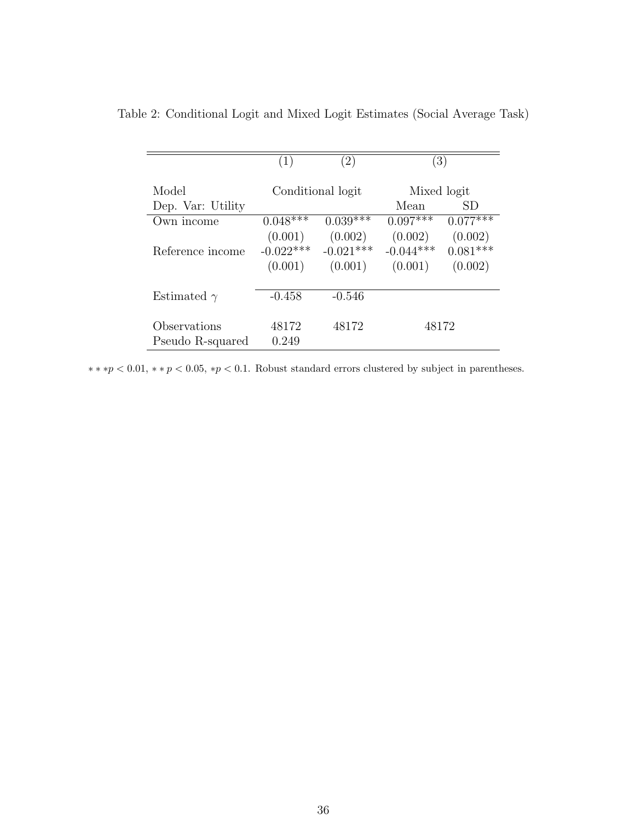| Table 2: Conditional Logit and Mixed Logit Estimates (Social Average Task) |  |  |  |  |  |  |
|----------------------------------------------------------------------------|--|--|--|--|--|--|
|----------------------------------------------------------------------------|--|--|--|--|--|--|

|                    | $\left(1\right)$ | $\left(2\right)$  | (3)         |            |
|--------------------|------------------|-------------------|-------------|------------|
| Model              |                  | Conditional logit | Mixed logit |            |
| Dep. Var: Utility  |                  |                   | Mean        | SD         |
| Own income         | $0.048***$       | $0.039***$        | $0.097***$  | $0.077***$ |
|                    | (0.001)          | (0.002)           | (0.002)     | (0.002)    |
| Reference income   | $-0.022***$      | $-0.021***$       | $-0.044***$ | $0.081***$ |
|                    | (0.001)          | (0.001)           | (0.001)     | (0.002)    |
| Estimated $\gamma$ | $-0.458$         | $-0.546$          |             |            |
| Observations       | 48172            | 48172             | 48172       |            |
| Pseudo R-squared   | 0.249            |                   |             |            |

*∗ ∗ ∗p <* 0*.*01, *∗ ∗ p <* 0*.*05, *∗p <* 0*.*1. Robust standard errors clustered by subject in parentheses.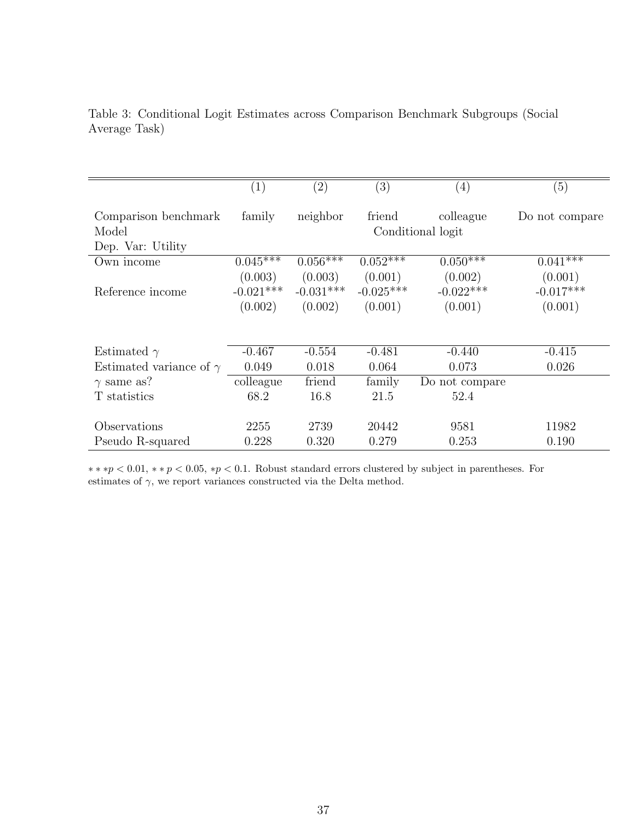|               |  |  | Table 3: Conditional Logit Estimates across Comparison Benchmark Subgroups (Social |  |  |
|---------------|--|--|------------------------------------------------------------------------------------|--|--|
| Average Task) |  |  |                                                                                    |  |  |

|                                | $\left( 1\right)$ | $\left( 2\right)$ | (3)         | (4)               | (5)            |
|--------------------------------|-------------------|-------------------|-------------|-------------------|----------------|
| Comparison benchmark           | family            | neighbor          | friend      | colleague         | Do not compare |
| Model                          |                   |                   |             | Conditional logit |                |
| Dep. Var: Utility              |                   |                   |             |                   |                |
| Own income                     | $0.045***$        | $0.056***$        | $0.052***$  | $0.050***$        | $0.041***$     |
|                                | (0.003)           | (0.003)           | (0.001)     | (0.002)           | (0.001)        |
| Reference income               | $-0.021***$       | $-0.031***$       | $-0.025***$ | $-0.022***$       | $-0.017***$    |
|                                | (0.002)           | (0.002)           | (0.001)     | (0.001)           | (0.001)        |
|                                |                   |                   |             |                   |                |
| Estimated $\gamma$             | $-0.467$          | $-0.554$          | $-0.481$    | $-0.440$          | $-0.415$       |
| Estimated variance of $\gamma$ | 0.049             | 0.018             | 0.064       | 0.073             | 0.026          |
| $\gamma$ same as?              | colleague         | friend            | family      | Do not compare    |                |
| T statistics                   | 68.2              | 16.8              | 21.5        | 52.4              |                |
|                                |                   |                   |             |                   |                |
| Observations                   | 2255              | 2739              | 20442       | 9581              | 11982          |
| Pseudo R-squared               | 0.228             | 0.320             | 0.279       | 0.253             | 0.190          |

*∗ ∗ ∗p <* 0*.*01, *∗ ∗ p <* 0*.*05, *∗p <* 0*.*1. Robust standard errors clustered by subject in parentheses. For estimates of  $\gamma$ , we report variances constructed via the Delta method.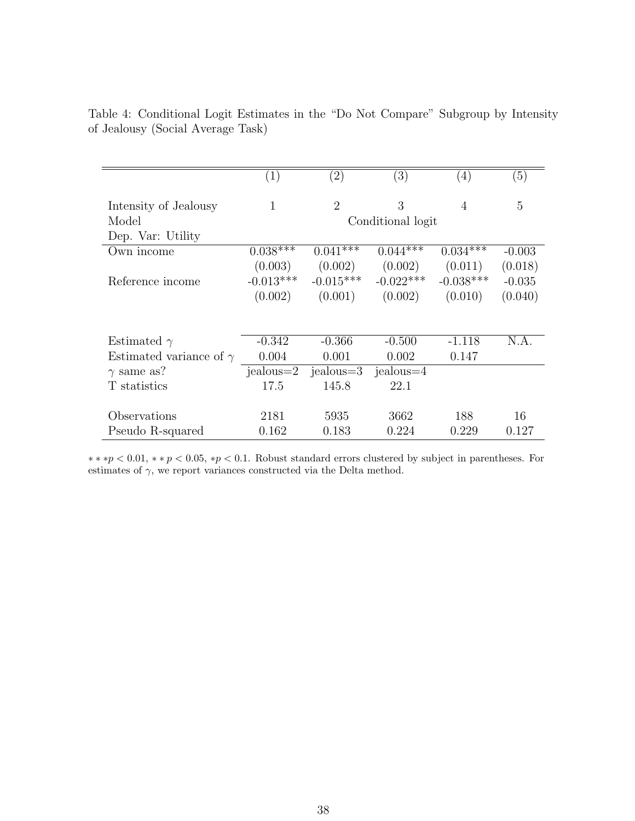|                                | $\left( 1\right)$ | $\left( 2\right)$ | (3)                    | $\left(4\right)$ | (5)      |
|--------------------------------|-------------------|-------------------|------------------------|------------------|----------|
| Intensity of Jealousy<br>Model | 1                 | $\overline{2}$    | 3<br>Conditional logit | 4                | 5        |
| Dep. Var: Utility              |                   |                   |                        |                  |          |
| Own income                     | $0.038***$        | $0.041***$        | $0.044***$             | $0.034***$       | $-0.003$ |
|                                | (0.003)           | (0.002)           | (0.002)                | (0.011)          | (0.018)  |
| Reference income               | $-0.013***$       | $-0.015***$       | $-0.022***$            | $-0.038***$      | $-0.035$ |
|                                | (0.002)           | (0.001)           | (0.002)                | (0.010)          | (0.040)  |
|                                |                   |                   |                        |                  |          |
| Estimated $\gamma$             | $-0.342$          | $-0.366$          | $-0.500$               | $-1.118$         | N.A.     |
| Estimated variance of $\gamma$ | 0.004             | 0.001             | 0.002                  | 0.147            |          |
| $\gamma$ same as?              | $j$ ealous $=$ 2  | jealous=3         | jealous=4              |                  |          |
| T statistics                   | 17.5              | 145.8             | 22.1                   |                  |          |
| Observations                   | 2181              | 5935              | 3662                   | 188              | 16       |
| Pseudo R-squared               | 0.162             | 0.183             | 0.224                  | 0.229            | 0.127    |

Table 4: Conditional Logit Estimates in the "Do Not Compare" Subgroup by Intensity of Jealousy (Social Average Task)

*∗ ∗ ∗p <* 0*.*01, *∗ ∗ p <* 0*.*05, *∗p <* 0*.*1. Robust standard errors clustered by subject in parentheses. For estimates of  $\gamma,$  we report variances constructed via the Delta method.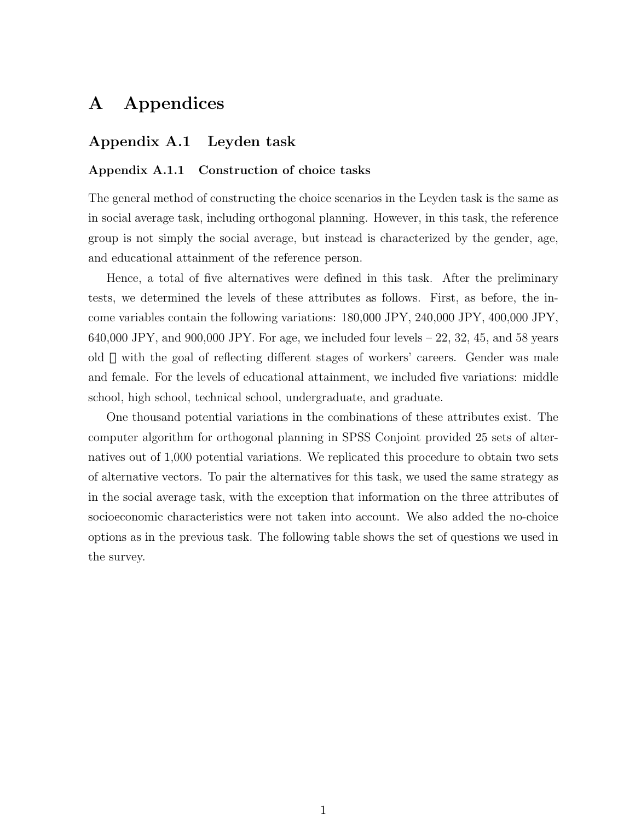# **A Appendices**

#### **Appendix A.1 Leyden task**

#### **Appendix A.1.1 Construction of choice tasks**

The general method of constructing the choice scenarios in the Leyden task is the same as in social average task, including orthogonal planning. However, in this task, the reference group is not simply the social average, but instead is characterized by the gender, age, and educational attainment of the reference person.

Hence, a total of five alternatives were defined in this task. After the preliminary tests, we determined the levels of these attributes as follows. First, as before, the income variables contain the following variations: 180,000 JPY, 240,000 JPY, 400,000 JPY, 640,000 JPY, and 900,000 JPY. For age, we included four levels – 22, 32, 45, and 58 years old with the goal of reflecting different stages of workers' careers. Gender was male and female. For the levels of educational attainment, we included five variations: middle school, high school, technical school, undergraduate, and graduate.

One thousand potential variations in the combinations of these attributes exist. The computer algorithm for orthogonal planning in SPSS Conjoint provided 25 sets of alternatives out of 1,000 potential variations. We replicated this procedure to obtain two sets of alternative vectors. To pair the alternatives for this task, we used the same strategy as in the social average task, with the exception that information on the three attributes of socioeconomic characteristics were not taken into account. We also added the no-choice options as in the previous task. The following table shows the set of questions we used in the survey.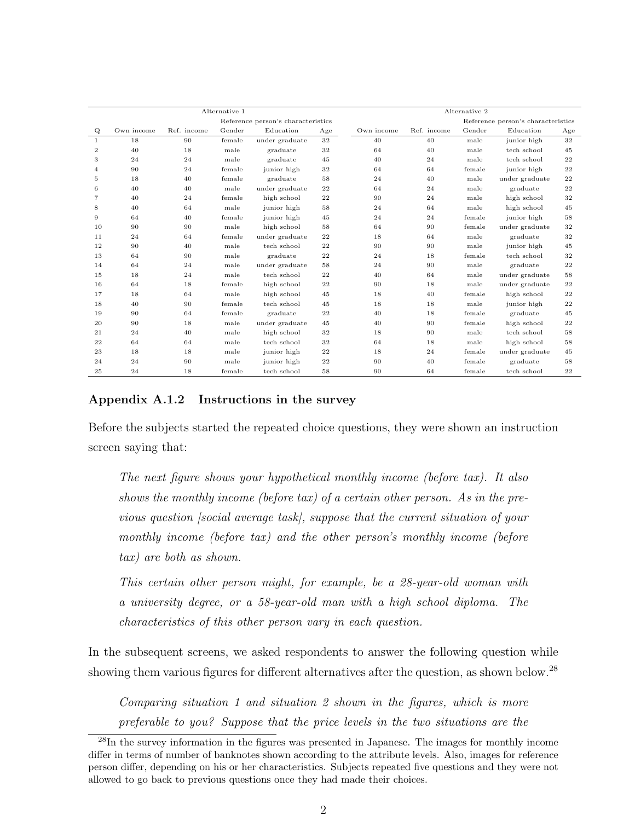|                |            |             | Alternative 1 |                                    |     |            |             | Alternative 2 |                                    |              |
|----------------|------------|-------------|---------------|------------------------------------|-----|------------|-------------|---------------|------------------------------------|--------------|
|                |            |             |               | Reference person's characteristics |     |            |             |               | Reference person's characteristics |              |
| Q              | Own income | Ref. income | Gender        | Education                          | Age | Own income | Ref. income | Gender        | Education                          | Age          |
| 1              | 18         | 90          | female        | under graduate                     | 32  | 40         | 40          | male          | junior high                        | 32           |
| $\mathbf{2}$   | 40         | 18          | male          | graduate                           | 32  | 64         | 40          | male          | tech school                        | 45           |
| 3              | 24         | 24          | male          | graduate                           | 45  | 40         | 24          | male          | tech school                        | $\bf{22}$    |
| $\overline{4}$ | 90         | 24          | female        | junior high                        | 32  | 64         | 64          | female        | junior high                        | $\bf{22}$    |
| 5              | 18         | 40          | female        | graduate                           | 58  | 24         | 40          | male          | under graduate                     | $\bf{^{22}}$ |
| 6              | 40         | 40          | male          | under graduate                     | 22  | 64         | 24          | male          | graduate                           | 22           |
| $\overline{7}$ | 40         | 24          | female        | high school                        | 22  | 90         | 24          | male          | high school                        | 32           |
| 8              | 40         | 64          | male          | junior high                        | 58  | 24         | 64          | male          | high school                        | 45           |
| 9              | 64         | 40          | female        | junior high                        | 45  | 24         | 24          | female        | junior high                        | 58           |
| 10             | 90         | 90          | male          | high school                        | 58  | 64         | 90          | female        | under graduate                     | 32           |
| 11             | 24         | 64          | female        | under graduate                     | 22  | 18         | 64          | male          | graduate                           | 32           |
| 12             | 90         | 40          | male          | tech school                        | 22  | 90         | 90          | male          | junior high                        | 45           |
| 13             | 64         | 90          | male          | graduate                           | 22  | 24         | 18          | female        | tech school                        | 32           |
| 14             | 64         | 24          | male          | under graduate                     | 58  | 24         | 90          | male          | graduate                           | $\bf{^{22}}$ |
| 15             | 18         | 24          | male          | tech school                        | 22  | 40         | 64          | male          | under graduate                     | 58           |
| 16             | 64         | 18          | female        | high school                        | 22  | 90         | 18          | male          | under graduate                     | $\bf{^{22}}$ |
| 17             | 18         | 64          | male          | high school                        | 45  | 18         | 40          | female        | high school                        | 22           |
| 18             | 40         | 90          | female        | tech school                        | 45  | 18         | 18          | male          | junior high                        | 22           |
| 19             | 90         | 64          | female        | graduate                           | 22  | 40         | 18          | female        | graduate                           | 45           |
| 20             | 90         | 18          | male          | under graduate                     | 45  | 40         | 90          | female        | high school                        | 22           |
| 21             | 24         | 40          | male          | high school                        | 32  | 18         | 90          | male          | tech school                        | 58           |
| 22             | 64         | 64          | male          | tech school                        | 32  | 64         | 18          | male          | high school                        | 58           |
| 23             | 18         | 18          | male          | junior high                        | 22  | 18         | 24          | female        | under graduate                     | 45           |
| 24             | 24         | 90          | male          | junior high                        | 22  | 90         | 40          | female        | graduate                           | 58           |
| 25             | 24         | 18          | female        | tech school                        | 58  | 90         | 64          | female        | tech school                        | 22           |

#### **Appendix A.1.2 Instructions in the survey**

Before the subjects started the repeated choice questions, they were shown an instruction screen saying that:

*The next figure shows your hypothetical monthly income (before tax). It also shows the monthly income (before tax) of a certain other person. As in the previous question [social average task], suppose that the current situation of your monthly income (before tax) and the other person's monthly income (before tax) are both as shown.*

*This certain other person might, for example, be a 28-year-old woman with a university degree, or a 58-year-old man with a high school diploma. The characteristics of this other person vary in each question.*

In the subsequent screens, we asked respondents to answer the following question while showing them various figures for different alternatives after the question, as shown below.<sup>28</sup>

*Comparing situation 1 and situation 2 shown in the figures, which is more preferable to you? Suppose that the price levels in the two situations are the*

<sup>&</sup>lt;sup>28</sup>In the survey information in the figures was presented in Japanese. The images for monthly income differ in terms of number of banknotes shown according to the attribute levels. Also, images for reference person differ, depending on his or her characteristics. Subjects repeated five questions and they were not allowed to go back to previous questions once they had made their choices.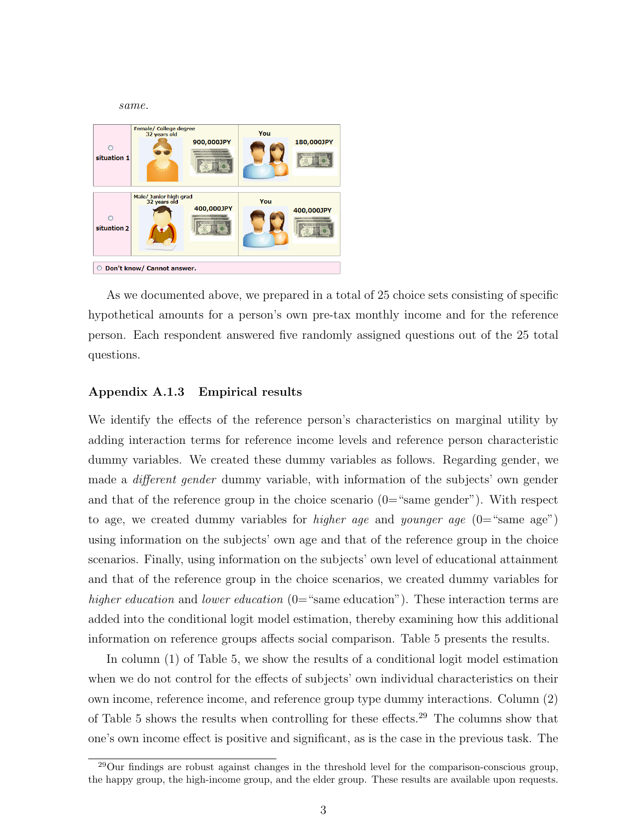*same.*



As we documented above, we prepared in a total of 25 choice sets consisting of specific hypothetical amounts for a person's own pre-tax monthly income and for the reference person. Each respondent answered five randomly assigned questions out of the 25 total questions.

#### **Appendix A.1.3 Empirical results**

We identify the effects of the reference person's characteristics on marginal utility by adding interaction terms for reference income levels and reference person characteristic dummy variables. We created these dummy variables as follows. Regarding gender, we made a *different gender* dummy variable, with information of the subjects' own gender and that of the reference group in the choice scenario  $(0=$  "same gender"). With respect to age, we created dummy variables for *higher age* and *younger age* (0="same age") using information on the subjects' own age and that of the reference group in the choice scenarios. Finally, using information on the subjects' own level of educational attainment and that of the reference group in the choice scenarios, we created dummy variables for *higher education* and *lower education* (0="same education"). These interaction terms are added into the conditional logit model estimation, thereby examining how this additional information on reference groups affects social comparison. Table 5 presents the results.

In column (1) of Table 5, we show the results of a conditional logit model estimation when we do not control for the effects of subjects' own individual characteristics on their own income, reference income, and reference group type dummy interactions. Column (2) of Table 5 shows the results when controlling for these effects.<sup>29</sup> The columns show that one's own income effect is positive and significant, as is the case in the previous task. The

 $^{29}$ Our findings are robust against changes in the threshold level for the comparison-conscious group, the happy group, the high-income group, and the elder group. These results are available upon requests.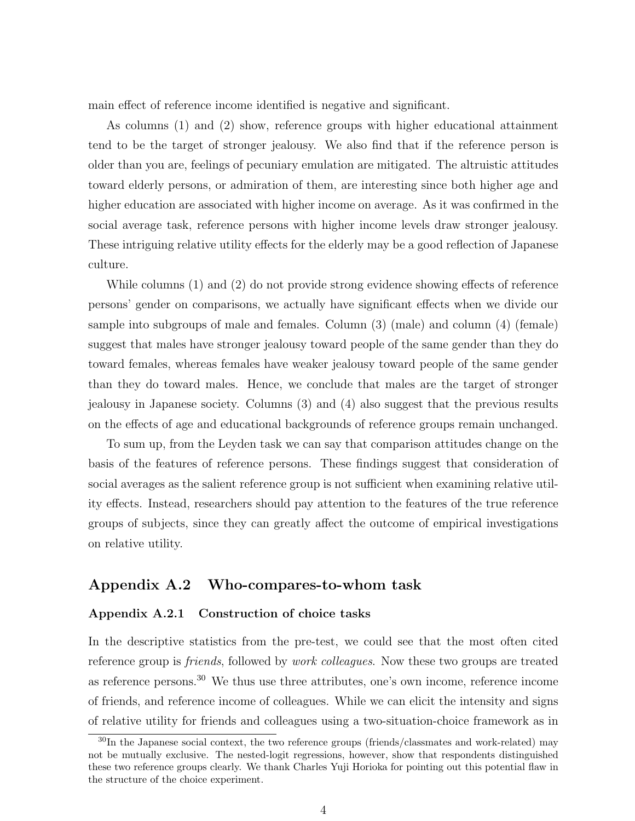main effect of reference income identified is negative and significant.

As columns (1) and (2) show, reference groups with higher educational attainment tend to be the target of stronger jealousy. We also find that if the reference person is older than you are, feelings of pecuniary emulation are mitigated. The altruistic attitudes toward elderly persons, or admiration of them, are interesting since both higher age and higher education are associated with higher income on average. As it was confirmed in the social average task, reference persons with higher income levels draw stronger jealousy. These intriguing relative utility effects for the elderly may be a good reflection of Japanese culture.

While columns (1) and (2) do not provide strong evidence showing effects of reference persons' gender on comparisons, we actually have significant effects when we divide our sample into subgroups of male and females. Column (3) (male) and column (4) (female) suggest that males have stronger jealousy toward people of the same gender than they do toward females, whereas females have weaker jealousy toward people of the same gender than they do toward males. Hence, we conclude that males are the target of stronger jealousy in Japanese society. Columns (3) and (4) also suggest that the previous results on the effects of age and educational backgrounds of reference groups remain unchanged.

To sum up, from the Leyden task we can say that comparison attitudes change on the basis of the features of reference persons. These findings suggest that consideration of social averages as the salient reference group is not sufficient when examining relative utility effects. Instead, researchers should pay attention to the features of the true reference groups of subjects, since they can greatly affect the outcome of empirical investigations on relative utility.

#### **Appendix A.2 Who-compares-to-whom task**

#### **Appendix A.2.1 Construction of choice tasks**

In the descriptive statistics from the pre-test, we could see that the most often cited reference group is *friends*, followed by *work colleagues*. Now these two groups are treated as reference persons.<sup>30</sup> We thus use three attributes, one's own income, reference income of friends, and reference income of colleagues. While we can elicit the intensity and signs of relative utility for friends and colleagues using a two-situation-choice framework as in

<sup>&</sup>lt;sup>30</sup>In the Japanese social context, the two reference groups (friends/classmates and work-related) may not be mutually exclusive. The nested-logit regressions, however, show that respondents distinguished these two reference groups clearly. We thank Charles Yuji Horioka for pointing out this potential flaw in the structure of the choice experiment.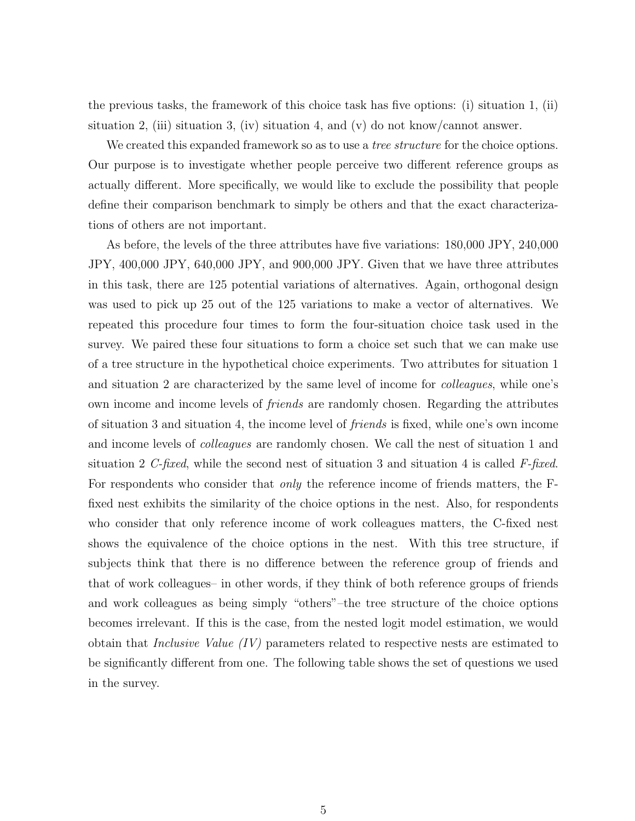the previous tasks, the framework of this choice task has five options: (i) situation 1, (ii) situation 2, (iii) situation 3, (iv) situation 4, and (v) do not know/cannot answer.

We created this expanded framework so as to use a *tree structure* for the choice options. Our purpose is to investigate whether people perceive two different reference groups as actually different. More specifically, we would like to exclude the possibility that people define their comparison benchmark to simply be others and that the exact characterizations of others are not important.

As before, the levels of the three attributes have five variations: 180,000 JPY, 240,000 JPY, 400,000 JPY, 640,000 JPY, and 900,000 JPY. Given that we have three attributes in this task, there are 125 potential variations of alternatives. Again, orthogonal design was used to pick up 25 out of the 125 variations to make a vector of alternatives. We repeated this procedure four times to form the four-situation choice task used in the survey. We paired these four situations to form a choice set such that we can make use of a tree structure in the hypothetical choice experiments. Two attributes for situation 1 and situation 2 are characterized by the same level of income for *colleagues*, while one's own income and income levels of *friends* are randomly chosen. Regarding the attributes of situation 3 and situation 4, the income level of *friends* is fixed, while one's own income and income levels of *colleagues* are randomly chosen. We call the nest of situation 1 and situation 2 *C-fixed*, while the second nest of situation 3 and situation 4 is called *F-fixed*. For respondents who consider that *only* the reference income of friends matters, the Ffixed nest exhibits the similarity of the choice options in the nest. Also, for respondents who consider that only reference income of work colleagues matters, the C-fixed nest shows the equivalence of the choice options in the nest. With this tree structure, if subjects think that there is no difference between the reference group of friends and that of work colleagues– in other words, if they think of both reference groups of friends and work colleagues as being simply "others"–the tree structure of the choice options becomes irrelevant. If this is the case, from the nested logit model estimation, we would obtain that *Inclusive Value (IV)* parameters related to respective nests are estimated to be significantly different from one. The following table shows the set of questions we used in the survey.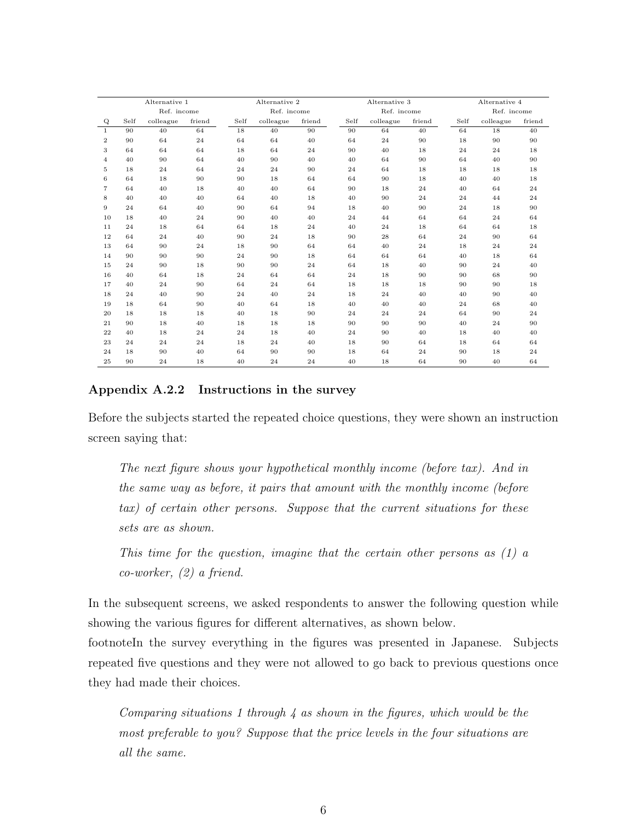|                |      | Alternative 1 |        |      | Alternative 2 |        |      | Alternative 3 |        |      | Alternative 4 |        |
|----------------|------|---------------|--------|------|---------------|--------|------|---------------|--------|------|---------------|--------|
|                |      | Ref. income   |        |      | Ref. income   |        |      | Ref. income   |        |      | Ref. income   |        |
| $\Omega$       | Self | colleague     | friend | Self | colleague     | friend | Self | colleague     | friend | Self | colleague     | friend |
| $\mathbf{1}$   | 90   | 40            | 64     | 18   | 40            | 90     | 90   | 64            | 40     | 64   | 18            | 40     |
| $\overline{2}$ | 90   | 64            | 24     | 64   | 64            | 40     | 64   | 24            | 90     | 18   | 90            | 90     |
| 3              | 64   | 64            | 64     | 18   | 64            | 24     | 90   | 40            | 18     | 24   | 24            | 18     |
| $\overline{4}$ | 40   | 90            | 64     | 40   | 90            | 40     | 40   | 64            | 90     | 64   | 40            | 90     |
| 5              | 18   | 24            | 64     | 24   | 24            | 90     | 24   | 64            | 18     | 18   | 18            | 18     |
| 6              | 64   | 18            | 90     | 90   | 18            | 64     | 64   | 90            | 18     | 40   | 40            | 18     |
| $\overline{7}$ | 64   | 40            | 18     | 40   | 40            | 64     | 90   | 18            | 24     | 40   | 64            | 24     |
| 8              | 40   | 40            | 40     | 64   | 40            | 18     | 40   | 90            | 24     | 24   | 44            | 24     |
| 9              | 24   | 64            | 40     | 90   | 64            | 94     | 18   | 40            | 90     | 24   | 18            | 90     |
| 10             | 18   | 40            | 24     | 90   | 40            | 40     | 24   | 44            | 64     | 64   | 24            | 64     |
| 11             | 24   | 18            | 64     | 64   | 18            | 24     | 40   | 24            | 18     | 64   | 64            | 18     |
| 12             | 64   | 24            | 40     | 90   | 24            | 18     | 90   | 28            | 64     | 24   | 90            | 64     |
| 13             | 64   | 90            | 24     | 18   | 90            | 64     | 64   | 40            | 24     | 18   | 24            | 24     |
| 14             | 90   | 90            | 90     | 24   | 90            | 18     | 64   | 64            | 64     | 40   | 18            | 64     |
| 15             | 24   | 90            | 18     | 90   | 90            | 24     | 64   | 18            | 40     | 90   | 24            | 40     |
| 16             | 40   | 64            | 18     | 24   | 64            | 64     | 24   | 18            | 90     | 90   | 68            | 90     |
| 17             | 40   | 24            | 90     | 64   | 24            | 64     | 18   | 18            | 18     | 90   | 90            | 18     |
| 18             | 24   | 40            | 90     | 24   | 40            | 24     | 18   | 24            | 40     | 40   | 90            | 40     |
| 19             | 18   | 64            | 90     | 40   | 64            | 18     | 40   | 40            | 40     | 24   | 68            | 40     |
| 20             | 18   | 18            | 18     | 40   | 18            | 90     | 24   | 24            | 24     | 64   | 90            | 24     |
| 21             | 90   | 18            | 40     | 18   | 18            | 18     | 90   | 90            | 90     | 40   | 24            | 90     |
| 22             | 40   | 18            | 24     | 24   | 18            | 40     | 24   | 90            | 40     | 18   | 40            | 40     |
| 23             | 24   | 24            | 24     | 18   | 24            | 40     | 18   | 90            | 64     | 18   | 64            | 64     |
| 24             | 18   | 90            | 40     | 64   | 90            | 90     | 18   | 64            | 24     | 90   | 18            | 24     |
| 25             | 90   | 24            | 18     | 40   | 24            | 24     | 40   | 18            | 64     | 90   | 40            | 64     |

#### **Appendix A.2.2 Instructions in the survey**

Before the subjects started the repeated choice questions, they were shown an instruction screen saying that:

*The next figure shows your hypothetical monthly income (before tax). And in the same way as before, it pairs that amount with the monthly income (before tax) of certain other persons. Suppose that the current situations for these sets are as shown.*

*This time for the question, imagine that the certain other persons as (1) a co-worker, (2) a friend.*

In the subsequent screens, we asked respondents to answer the following question while showing the various figures for different alternatives, as shown below.

footnoteIn the survey everything in the figures was presented in Japanese. Subjects repeated five questions and they were not allowed to go back to previous questions once they had made their choices.

*Comparing situations 1 through 4 as shown in the figures, which would be the most preferable to you? Suppose that the price levels in the four situations are all the same.*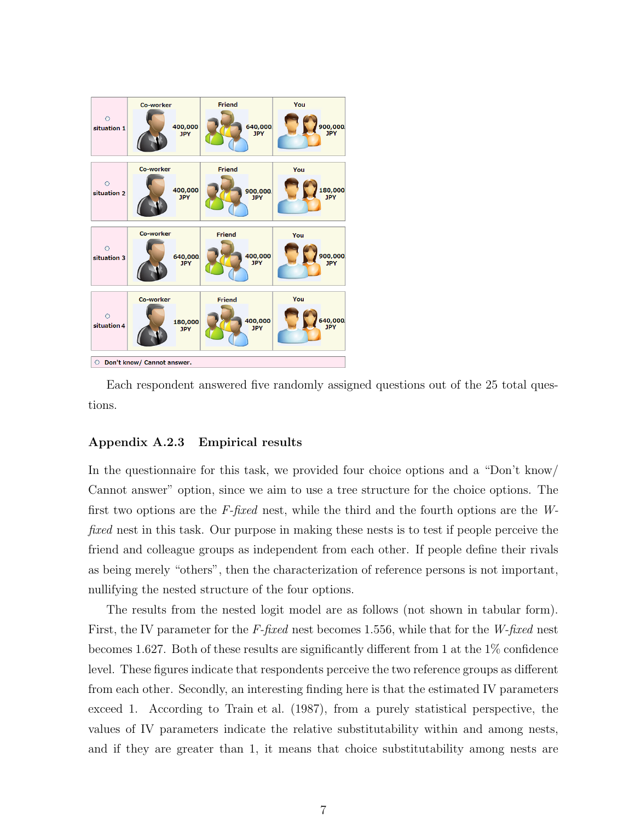

Each respondent answered five randomly assigned questions out of the 25 total questions.

#### **Appendix A.2.3 Empirical results**

In the questionnaire for this task, we provided four choice options and a "Don't know/ Cannot answer" option, since we aim to use a tree structure for the choice options. The first two options are the *F-fixed* nest, while the third and the fourth options are the *Wfixed* nest in this task. Our purpose in making these nests is to test if people perceive the friend and colleague groups as independent from each other. If people define their rivals as being merely "others", then the characterization of reference persons is not important, nullifying the nested structure of the four options.

The results from the nested logit model are as follows (not shown in tabular form). First, the IV parameter for the *F-fixed* nest becomes 1.556, while that for the *W-fixed* nest becomes 1.627. Both of these results are significantly different from 1 at the 1% confidence level. These figures indicate that respondents perceive the two reference groups as different from each other. Secondly, an interesting finding here is that the estimated IV parameters exceed 1. According to Train et al. (1987), from a purely statistical perspective, the values of IV parameters indicate the relative substitutability within and among nests, and if they are greater than 1, it means that choice substitutability among nests are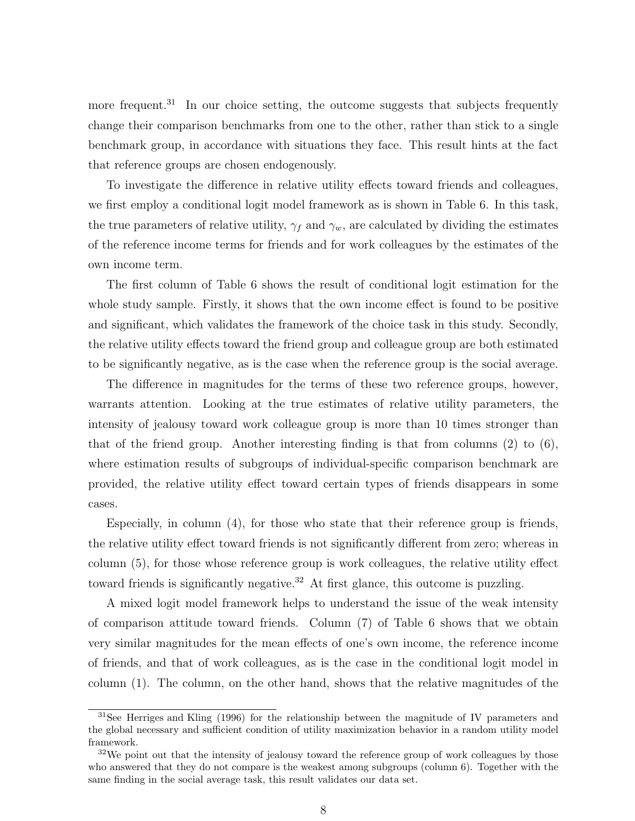more frequent.<sup>31</sup> In our choice setting, the outcome suggests that subjects frequently change their comparison benchmarks from one to the other, rather than stick to a single benchmark group, in accordance with situations they face. This result hints at the fact that reference groups are chosen endogenously.

To investigate the difference in relative utility effects toward friends and colleagues, we first employ a conditional logit model framework as is shown in Table 6. In this task, the true parameters of relative utility,  $\gamma_f$  and  $\gamma_w$ , are calculated by dividing the estimates of the reference income terms for friends and for work colleagues by the estimates of the own income term.

The first column of Table 6 shows the result of conditional logit estimation for the whole study sample. Firstly, it shows that the own income effect is found to be positive and significant, which validates the framework of the choice task in this study. Secondly, the relative utility effects toward the friend group and colleague group are both estimated to be significantly negative, as is the case when the reference group is the social average.

The difference in magnitudes for the terms of these two reference groups, however, warrants attention. Looking at the true estimates of relative utility parameters, the intensity of jealousy toward work colleague group is more than 10 times stronger than that of the friend group. Another interesting finding is that from columns (2) to (6), where estimation results of subgroups of individual-specific comparison benchmark are provided, the relative utility effect toward certain types of friends disappears in some cases.

Especially, in column (4), for those who state that their reference group is friends, the relative utility effect toward friends is not significantly different from zero; whereas in column (5), for those whose reference group is work colleagues, the relative utility effect toward friends is significantly negative.<sup>32</sup> At first glance, this outcome is puzzling.

A mixed logit model framework helps to understand the issue of the weak intensity of comparison attitude toward friends. Column (7) of Table 6 shows that we obtain very similar magnitudes for the mean effects of one's own income, the reference income of friends, and that of work colleagues, as is the case in the conditional logit model in column (1). The column, on the other hand, shows that the relative magnitudes of the

<sup>&</sup>lt;sup>31</sup>See Herriges and Kling (1996) for the relationship between the magnitude of IV parameters and the global necessary and sufficient condition of utility maximization behavior in a random utility model framework.

 $32\text{We point out that the intensity of is}$  jealousy toward the reference group of work colleagues by those who answered that they do not compare is the weakest among subgroups (column 6). Together with the same finding in the social average task, this result validates our data set.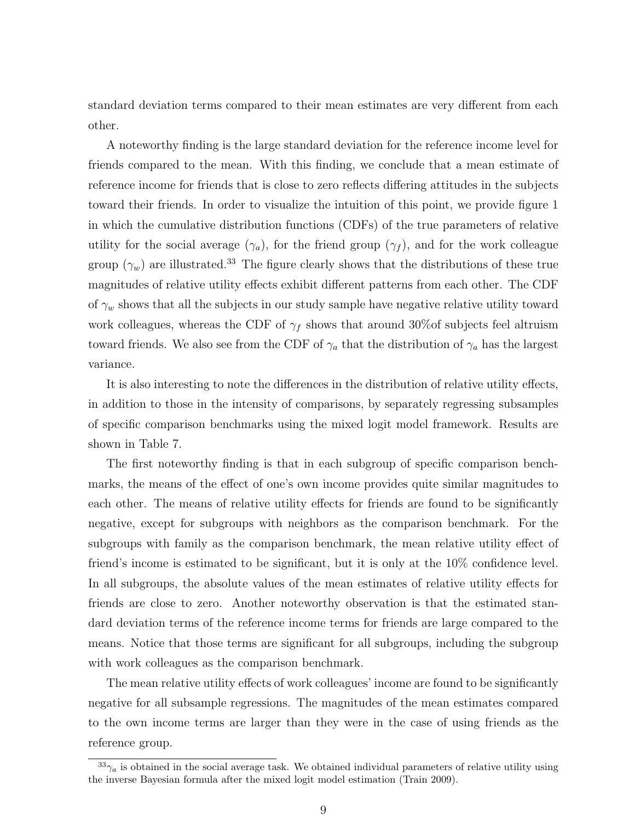standard deviation terms compared to their mean estimates are very different from each other.

A noteworthy finding is the large standard deviation for the reference income level for friends compared to the mean. With this finding, we conclude that a mean estimate of reference income for friends that is close to zero reflects differing attitudes in the subjects toward their friends. In order to visualize the intuition of this point, we provide figure 1 in which the cumulative distribution functions (CDFs) of the true parameters of relative utility for the social average  $(\gamma_a)$ , for the friend group  $(\gamma_f)$ , and for the work colleague group  $(\gamma_w)$  are illustrated.<sup>33</sup> The figure clearly shows that the distributions of these true magnitudes of relative utility effects exhibit different patterns from each other. The CDF of  $\gamma_w$  shows that all the subjects in our study sample have negative relative utility toward work colleagues, whereas the CDF of  $\gamma_f$  shows that around 30% of subjects feel altruism toward friends. We also see from the CDF of  $\gamma_a$  that the distribution of  $\gamma_a$  has the largest variance.

It is also interesting to note the differences in the distribution of relative utility effects, in addition to those in the intensity of comparisons, by separately regressing subsamples of specific comparison benchmarks using the mixed logit model framework. Results are shown in Table 7.

The first noteworthy finding is that in each subgroup of specific comparison benchmarks, the means of the effect of one's own income provides quite similar magnitudes to each other. The means of relative utility effects for friends are found to be significantly negative, except for subgroups with neighbors as the comparison benchmark. For the subgroups with family as the comparison benchmark, the mean relative utility effect of friend's income is estimated to be significant, but it is only at the 10% confidence level. In all subgroups, the absolute values of the mean estimates of relative utility effects for friends are close to zero. Another noteworthy observation is that the estimated standard deviation terms of the reference income terms for friends are large compared to the means. Notice that those terms are significant for all subgroups, including the subgroup with work colleagues as the comparison benchmark.

The mean relative utility effects of work colleagues' income are found to be significantly negative for all subsample regressions. The magnitudes of the mean estimates compared to the own income terms are larger than they were in the case of using friends as the reference group.

 $33\gamma_a$  is obtained in the social average task. We obtained individual parameters of relative utility using the inverse Bayesian formula after the mixed logit model estimation (Train 2009).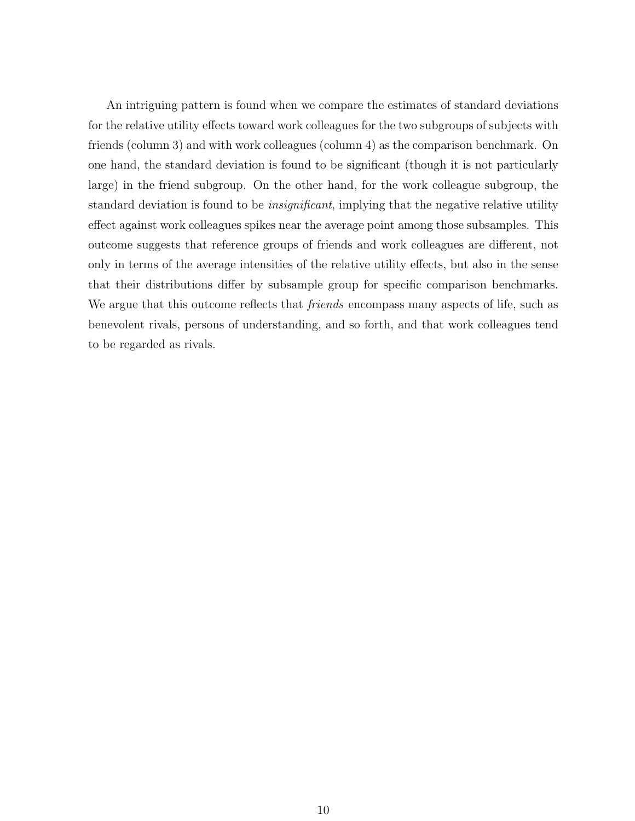An intriguing pattern is found when we compare the estimates of standard deviations for the relative utility effects toward work colleagues for the two subgroups of subjects with friends (column 3) and with work colleagues (column 4) as the comparison benchmark. On one hand, the standard deviation is found to be significant (though it is not particularly large) in the friend subgroup. On the other hand, for the work colleague subgroup, the standard deviation is found to be *insignificant*, implying that the negative relative utility effect against work colleagues spikes near the average point among those subsamples. This outcome suggests that reference groups of friends and work colleagues are different, not only in terms of the average intensities of the relative utility effects, but also in the sense that their distributions differ by subsample group for specific comparison benchmarks. We argue that this outcome reflects that *friends* encompass many aspects of life, such as benevolent rivals, persons of understanding, and so forth, and that work colleagues tend to be regarded as rivals.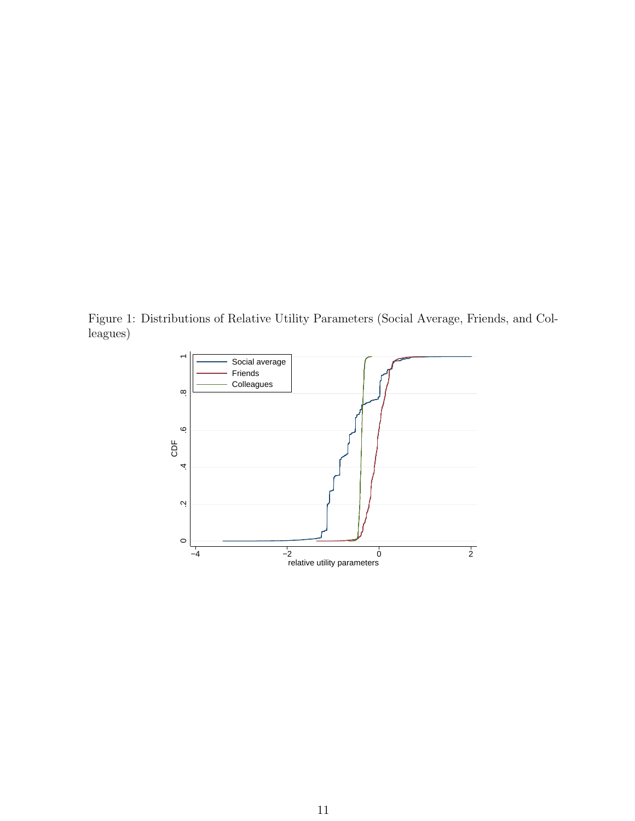Figure 1: Distributions of Relative Utility Parameters (Social Average, Friends, and Colleagues)

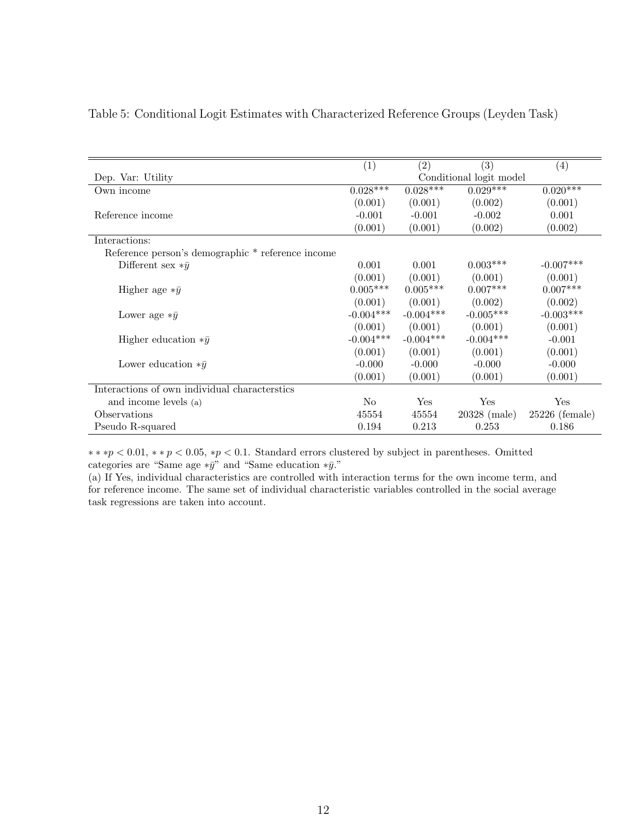|                                                   | (1)            | (2)         | $\overline{(3)}$        | $\left( 4\right)$ |
|---------------------------------------------------|----------------|-------------|-------------------------|-------------------|
| Dep. Var: Utility                                 |                |             | Conditional logit model |                   |
| Own income                                        | $0.028***$     | $0.028***$  | $0.029***$              | $0.020***$        |
|                                                   | (0.001)        | (0.001)     | (0.002)                 | (0.001)           |
| Reference income                                  | $-0.001$       | $-0.001$    | $-0.002$                | 0.001             |
|                                                   | (0.001)        | (0.001)     | (0.002)                 | (0.002)           |
| Interactions:                                     |                |             |                         |                   |
| Reference person's demographic * reference income |                |             |                         |                   |
| Different sex $*\bar{y}$                          | 0.001          | 0.001       | $0.003***$              | $-0.007***$       |
|                                                   | (0.001)        | (0.001)     | (0.001)                 | (0.001)           |
| Higher age $*\bar{y}$                             | $0.005***$     | $0.005***$  | $0.007***$              | $0.007***$        |
|                                                   | (0.001)        | (0.001)     | (0.002)                 | (0.002)           |
| Lower age $*\bar{y}$                              | $-0.004***$    | $-0.004***$ | $-0.005***$             | $-0.003***$       |
|                                                   | (0.001)        | (0.001)     | (0.001)                 | (0.001)           |
| Higher education $*\bar{y}$                       | $-0.004***$    | $-0.004***$ | $-0.004***$             | $-0.001$          |
|                                                   | (0.001)        | (0.001)     | (0.001)                 | (0.001)           |
| Lower education $*\bar{y}$                        | $-0.000$       | $-0.000$    | $-0.000$                | $-0.000$          |
|                                                   | (0.001)        | (0.001)     | (0.001)                 | (0.001)           |
| Interactions of own individual characterstics     |                |             |                         |                   |
| and income levels (a)                             | N <sub>o</sub> | Yes         | Yes                     | Yes               |
| Observations                                      | 45554          | 45554       | $20328$ (male)          | $25226$ (female)  |
| Pseudo R-squared                                  | 0.194          | 0.213       | 0.253                   | 0.186             |

#### Table 5: Conditional Logit Estimates with Characterized Reference Groups (Leyden Task)

*∗ ∗ ∗p <* 0*.*01, *∗ ∗ p <* 0*.*05, *∗p <* 0*.*1. Standard errors clustered by subject in parentheses. Omitted categories are "Same age  $*\bar{y}$ " and "Same education  $*\bar{y}$ ."

(a) If Yes, individual characteristics are controlled with interaction terms for the own income term, and for reference income. The same set of individual characteristic variables controlled in the social average task regressions are taken into account.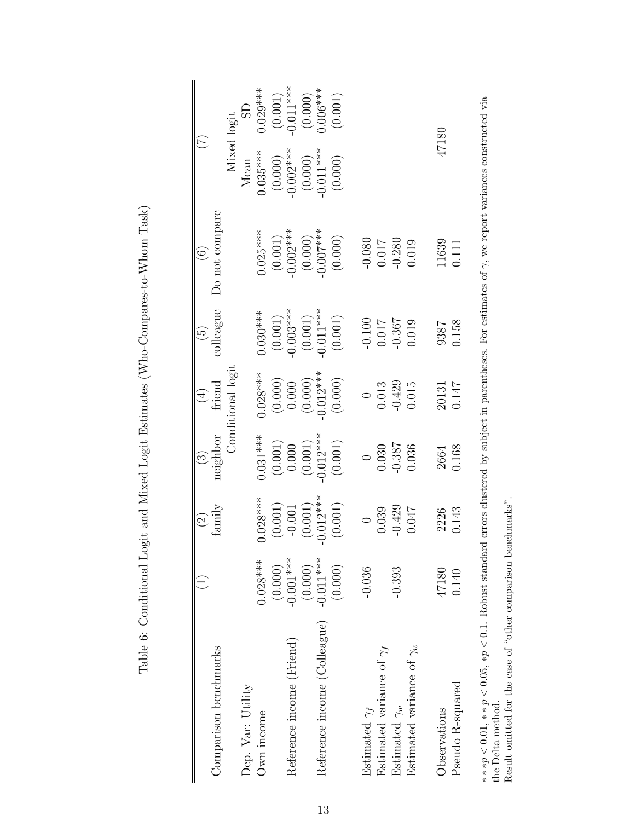|                                                                                                                                                |             | $\widehat{\Omega}$ | $\widehat{\mathbb{C}}$ | $(\pm)$                                       | $\widetilde{\Theta}$ | $\widehat{\odot}$                                                                                           | $(\overline{z})$         |                         |
|------------------------------------------------------------------------------------------------------------------------------------------------|-------------|--------------------|------------------------|-----------------------------------------------|----------------------|-------------------------------------------------------------------------------------------------------------|--------------------------|-------------------------|
| Comparison benchmarks                                                                                                                          |             | $\text{family}$    | neighbor               | friend                                        | colleague            | Do not compare                                                                                              |                          |                         |
|                                                                                                                                                |             |                    |                        | Conditional logit                             |                      |                                                                                                             | Mixed logit              |                         |
| Dep. Var: Utility                                                                                                                              |             |                    |                        |                                               |                      |                                                                                                             | Mean                     | $\overline{\mathrm{S}}$ |
| Own income                                                                                                                                     | $0.028***$  | $0.028***$         | $0.031***$             | $0.028***$                                    | $0.030***$           | $0.025***$                                                                                                  | $0.035***$               | $0.029***$              |
|                                                                                                                                                | (0.000)     | (0.001)            | (0.001)                |                                               | (0.001)              | $\left( 0.001\right)$                                                                                       |                          |                         |
| Reference income (Friend)                                                                                                                      | $-0.001***$ | $-0.001$           | $0.000$                | $\begin{array}{c} (0.000)\\0.000 \end{array}$ | $0.003***$           | $-0.002***$                                                                                                 | $(0.000)$<br>$0.002$ *** | $(0.001)$<br>-0.011***  |
|                                                                                                                                                | (0.000)     | (0.001)            | $(0.001)$              | (0.000)                                       | (0.001)              | (0.000)                                                                                                     |                          |                         |
| Reference income (Colleague)                                                                                                                   | $-0.011***$ | $0.012***$         | $0.012***$             | $0.012***$                                    | $-0.011***$          | $-0.007***$                                                                                                 | $(0.000)$<br>$0.011***$  | $(0.000)$<br>$0.006***$ |
|                                                                                                                                                | (0.000)     | (0.001)            | (0.001)                | (0.000)                                       | (0.001)              | (0.000)                                                                                                     | (0.000)                  | (0.001)                 |
| Estimated $\gamma_f$                                                                                                                           | $-0.036$    |                    |                        |                                               | $-0.100$             | $-0.080$                                                                                                    |                          |                         |
| Estimated variance of $\gamma_f$                                                                                                               |             | 0.039              | 0.030                  | 0.013                                         | 0.017                | $0.017$                                                                                                     |                          |                         |
| Estimated $\gamma_w$                                                                                                                           | $-0.393$    | $-0.429$           | $-0.387$               | $-0.429$                                      | $-0.367$             | $-0.280$                                                                                                    |                          |                         |
| Estimated variance of $\gamma_w$                                                                                                               |             | 710.0              | 0.036                  | 0.015                                         | 0.019                | 0.019                                                                                                       |                          |                         |
|                                                                                                                                                |             |                    |                        |                                               |                      |                                                                                                             |                          |                         |
| Observations                                                                                                                                   | 47180       | 2226               | 2664                   | 20131                                         | 9387                 | 11639                                                                                                       | 47180                    |                         |
| Pseudo R-squared                                                                                                                               | 0.140       | 0.143              | 0.168                  | 0.147                                         | 0.158                | 0.111                                                                                                       |                          |                         |
| Result omitted for the case of "other comparison benchmarks"<br>$* * p < 0.01, * * p < 0.05, * p < 0.1$ . Robust standard<br>the Delta method. |             |                    |                        |                                               |                      | errors clustered by subject in parentheses. For estimates of $\gamma$ , we report variances constructed via |                          |                         |

Table 6: Conditional Logit and Mixed Logit Estimates (Who-Compares-to-Whom Task) Table 6: Conditional Logit and Mixed Logit Estimates (Who-Compares-to-Whom Task)

13